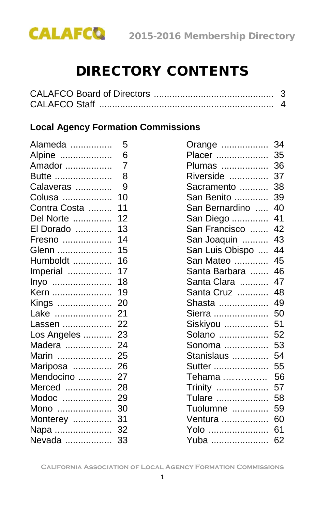

# DIRECTORY CONTENTS

# **Local Agency Formation Commissions**

| Alameda      | 5              | Orange          | 34 |
|--------------|----------------|-----------------|----|
| Alpine       | 6              | Placer          | 35 |
| Amador       | $\overline{7}$ | Plumas          | 36 |
| Butte        | 8              | Riverside       | 37 |
| Calaveras    | 9              | Sacramento      | 38 |
| Colusa       | 10             | San Benito      | 39 |
| Contra Costa | 11             | San Bernardino  | 40 |
| Del Norte    | 12             | San Diego       | 41 |
| El Dorado    | 13             | San Francisco   | 42 |
| Fresno       | 14             | San Joaquin     | 43 |
| Glenn        | 15             | San Luis Obispo | 44 |
| Humboldt     | 16             | San Mateo       | 45 |
| Imperial     | 17             | Santa Barbara   | 46 |
| lnyo         | 18             | Santa Clara     | 47 |
| Kern         | 19             | Santa Cruz      | 48 |
| Kings        | 20             | Shasta          | 49 |
| Lake         | 21             | Sierra          | 50 |
| Lassen       | 22             | Siskiyou        | 51 |
| Los Angeles  | 23             | Solano          | 52 |
| Madera       | 24             | Sonoma          | 53 |
| Marin        | 25             | Stanislaus      | 54 |
| Mariposa     | 26             | Sutter          | 55 |
| Mendocino    | 27             | Tehama          | 56 |
| Merced       | 28             | Trinity         | 57 |
| Modoc        | 29             | Tulare          | 58 |
| Mono         | 30             | Tuolumne        | 59 |
| Monterey     | 31             | Ventura         | 60 |
| Napa  32     |                | Yolo            | 61 |
| Nevada       | 33             | Yuba  62        |    |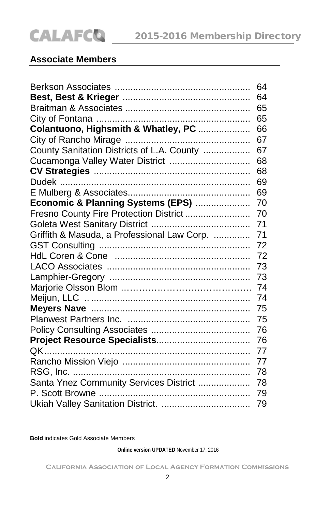# **Associate Members**

|                                             | 64 |
|---------------------------------------------|----|
|                                             | 64 |
|                                             | 65 |
|                                             | 65 |
| Colantuono, Highsmith & Whatley, PC         | 66 |
|                                             | 67 |
| County Sanitation Districts of L.A. County  | 67 |
| Cucamonga Valley Water District             | 68 |
|                                             | 68 |
|                                             | 69 |
|                                             | 69 |
| Economic & Planning Systems (EPS)           | 70 |
| Fresno County Fire Protection District      | 70 |
|                                             | 71 |
| Griffith & Masuda, a Professional Law Corp. | 71 |
|                                             | 72 |
|                                             | 72 |
|                                             | 73 |
|                                             | 73 |
|                                             | 74 |
|                                             | 74 |
|                                             | 75 |
|                                             | 75 |
|                                             | 76 |
|                                             | 76 |
|                                             | 77 |
|                                             | 77 |
|                                             | 78 |
| Santa Ynez Community Services District      | 78 |
|                                             | 79 |
|                                             | 79 |

**Bold** indicates Gold Associate Members

**Online version UPDATED** November 17, 2016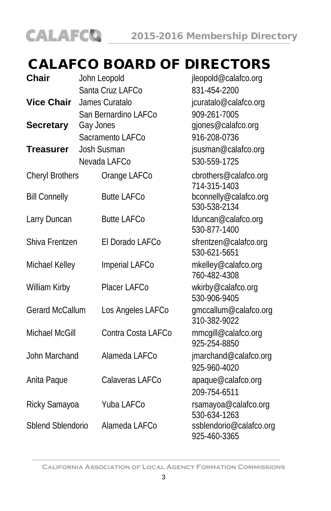

# CALAFCO BOARD OF DIRECTORS

| <b>Chair</b>         | John Leopold |                      | jleopold@calafco.org                    |
|----------------------|--------------|----------------------|-----------------------------------------|
|                      |              | Santa Cruz LAFCo     | 831-454-2200                            |
| <b>Vice Chair</b>    |              | James Curatalo       | jcuratalo@calafco.org                   |
|                      |              | San Bernardino LAFCo | 909-261-7005                            |
| <b>Secretary</b>     | Gay Jones    |                      | gjones@calafco.org                      |
|                      |              | Sacramento LAFCo     | 916-208-0736                            |
| Treasurer            | Josh Susman  |                      | jsusman@calafco.org                     |
|                      |              | Nevada LAFCo         | 530-559-1725                            |
| Cheryl Brothers      |              | Orange LAFCo         | cbrothers@calafco.org<br>714-315-1403   |
| <b>Bill Connelly</b> |              | <b>Butte LAFCo</b>   | bconnelly@calafco.org<br>530-538-2134   |
| Larry Duncan         |              | <b>Butte LAFCo</b>   | lduncan@calafco.org<br>530-877-1400     |
| Shiva Frentzen       |              | El Dorado LAFCo      | sfrentzen@calafco.org<br>530-621-5651   |
| Michael Kelley       |              | Imperial LAFCo       | mkelley@calafco.org<br>760-482-4308     |
| William Kirby        |              | Placer LAFCo         | wkirby@calafco.org<br>530-906-9405      |
| Gerard McCallum      |              | Los Angeles LAFCo    | gmccallum@calafco.org<br>310-382-9022   |
| Michael McGill       |              | Contra Costa LAFCo   | mmcqill@calafco.org<br>925-254-8850     |
| John Marchand        |              | Alameda LAFCo        | jmarchand@calafco.org<br>925-960-4020   |
| Anita Paque          |              | Calaveras LAFCo      | apaque@calafco.org<br>209-754-6511      |
| Ricky Samayoa        |              | Yuba LAFCo           | rsamayoa@calafco.org<br>530-634-1263    |
| Sblend Sblendorio    |              | Alameda LAFCo        | ssblendorio@calafco.org<br>925-460-3365 |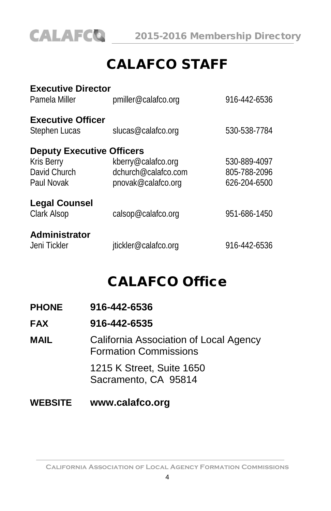

# CALAFCO STAFF

| <b>Executive Director</b><br>Pamela Miller                                          | pmiller@calafco.org                                             | 916-442-6536                                 |
|-------------------------------------------------------------------------------------|-----------------------------------------------------------------|----------------------------------------------|
| <b>Executive Officer</b><br>Stephen Lucas                                           | slucas@calafco.org                                              | 530-538-7784                                 |
| <b>Deputy Executive Officers</b><br><b>Kris Berry</b><br>David Church<br>Paul Novak | kberry@calafco.org<br>dchurch@calafco.com<br>pnovak@calafco.org | 530-889-4097<br>805-788-2096<br>626-204-6500 |
| <b>Legal Counsel</b><br>Clark Alsop                                                 | calsop@calafco.org                                              | 951-686-1450                                 |
| Administrator<br>Jeni Tickler                                                       | jtickler@calafco.org                                            | 916-442-6536                                 |

# CALAFCO Office

#### **FAX 916-442-6535**

**MAIL** California Association of Local Agency Formation Commissions 1215 K Street, Suite 1650 Sacramento, CA 95814

# **WEBSITE www.calafco.org**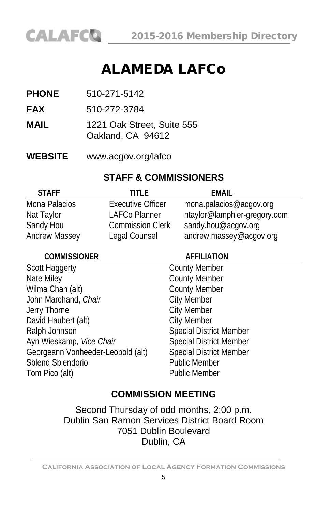# ALAMEDA LAFCo

- **PHONE** 510-271-5142
- **FAX** 510-272-3784
- **MAIL** 1221 Oak Street, Suite 555 Oakland, CA 94612
- **WEBSITE** www.acgov.org/lafco

# **STAFF & COMMISSIONERS**

| <b>STAFF</b>         | TITI F                   | FMAIL                        |
|----------------------|--------------------------|------------------------------|
| Mona Palacios        | <b>Executive Officer</b> | mona.palacios@acgov.org      |
| Nat Taylor           | LAFCo Planner            | ntaylor@lamphier-gregory.com |
| Sandy Hou            | <b>Commission Clerk</b>  | sandy.hou@acgov.org          |
| <b>Andrew Massey</b> | Legal Counsel            | andrew.massey@acqov.org      |

| <b>COMMISSIONER</b>               | <b>AFFILIATION</b>             |
|-----------------------------------|--------------------------------|
| Scott Haggerty                    | <b>County Member</b>           |
| Nate Miley                        | <b>County Member</b>           |
| Wilma Chan (alt)                  | <b>County Member</b>           |
| John Marchand, Chair              | <b>City Member</b>             |
| Jerry Thorne                      | <b>City Member</b>             |
| David Haubert (alt)               | <b>City Member</b>             |
| Ralph Johnson                     | <b>Special District Member</b> |
| Ayn Wieskamp, Vice Chair          | <b>Special District Member</b> |
| Georgeann Vonheeder-Leopold (alt) | <b>Special District Member</b> |
| Sblend Sblendorio                 | <b>Public Member</b>           |
| Tom Pico (alt)                    | <b>Public Member</b>           |
|                                   |                                |

# **COMMISSION MEETING**

Second Thursday of odd months, 2:00 p.m. Dublin San Ramon Services District Board Room 7051 Dublin Boulevard Dublin, CA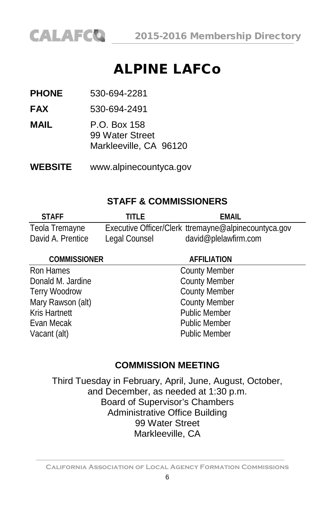

# ALPINE LAFCo

**PHONE** 530-694-2281

**FAX** 530-694-2491

**MAIL** P.O. Box 158 99 Water Street Markleeville, CA 96120

**WEBSITE** [www.alpinecountyca.gov](http://www.alpinecountyca.gov/)

# **STAFF & COMMISSIONERS**

| <b>STAFF</b>      | TITI F        | FMAIL                                                |
|-------------------|---------------|------------------------------------------------------|
| Teola Tremayne    |               | Executive Officer/Clerk ttremayne@alpinecountyca.gov |
| David A. Prentice | Legal Counsel | david@plelawfirm.com                                 |

#### **COMMISSIONER AFFILIATION**

Ron Hames County Member Donald M. Jardine **County Member** Terry Woodrow County Member Mary Rawson (alt) County Member Kris Hartnett **Article Structure 1986** Public Member Evan Mecak **Public Member** Vacant (alt) **Public Member** 

# **COMMISSION MEETING**

Third Tuesday in February, April, June, August, October, and December, as needed at 1:30 p.m. Board of Supervisor's Chambers Administrative Office Building 99 Water Street Markleeville, CA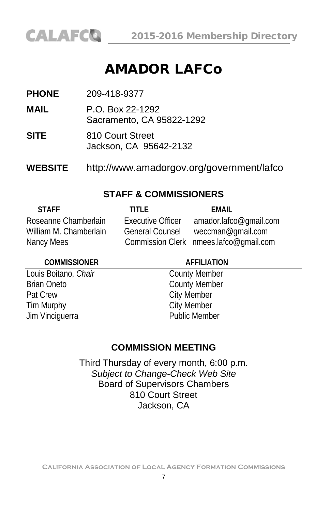# AMADOR LAFCo

**PHONE** 209-418-9377

**MAIL** P.O. Box 22-1292 Sacramento, CA 95822-1292

- **SITE** 810 Court Street Jackson, CA 95642-2132
- **WEBSITE** http://www.amadorgov.org/government/lafco

# **STAFF & COMMISSIONERS**

| <b>STAFF</b>           | TITI F                   | FMAIL                                  |
|------------------------|--------------------------|----------------------------------------|
| Roseanne Chamberlain   | <b>Executive Officer</b> | amador.lafco@qmail.com                 |
| William M. Chamberlain | <b>General Counsel</b>   | weccman@gmail.com                      |
| Nancy Mees             |                          | Commission Clerk nmees.lafco@gmail.com |

#### **COMMISSIONER AFFILIATION**

Louis Boitano, *Chair* County Member Brian Oneto County Member Pat Crew City Member<br>
Tim Murphy City Member Tim Murphy Jim Vinciguerra **Public Member** 

# **COMMISSION MEETING**

Third Thursday of every month, 6:00 p.m. *Subject to Change-Check Web Site* Board of Supervisors Chambers 810 Court Street Jackson, CA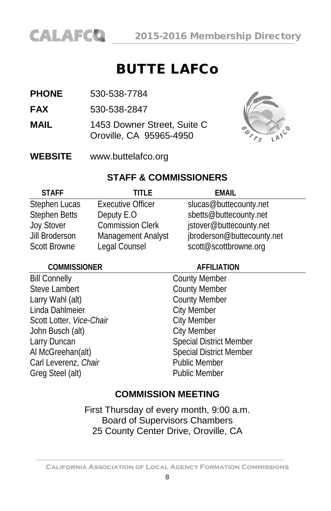# BUTTE LAFCo

- **PHONE** 530-538-7784
- **FAX** 530-538-2847
- **MAIL** 1453 Downer Street, Suite C Oroville, CA 95965-4950



**WEBSITE** [www.buttelafco.org](http://www.butelafco.org/)

# **STAFF & COMMISSIONERS**

| <b>STAFF</b>         | TITI F                   | FMAIL                      |
|----------------------|--------------------------|----------------------------|
| Stephen Lucas        | <b>Executive Officer</b> | slucas@buttecounty.net     |
| <b>Stephen Betts</b> | Deputy E.O               | sbetts@buttecounty.net     |
| <b>Joy Stover</b>    | <b>Commission Clerk</b>  | jstover@buttecounty.net    |
| Jill Broderson       | Management Analyst       | jbroderson@buttecounty.net |
| <b>Scott Browne</b>  | Legal Counsel            | scott@scottbrowne.org      |

#### **COMMISSIONER AFFILIATION**

Bill Connelly County Member Steve Lambert County Member Larry Wahl (alt) County Member Linda Dahlmeier **City Member** Scott Lotter, *Vice-Chair* City Member John Busch (alt) City Member Larry Duncan Special District Member Al McGreehan(alt) Special District Member<br>Carl Leverenz, Chair Special District Member Carl Leverenz, Chair Greg Steel (alt) **Public Member** 

# **COMMISSION MEETING**

First Thursday of every month, 9:00 a.m. Board of Supervisors Chambers 25 County Center Drive, Oroville, CA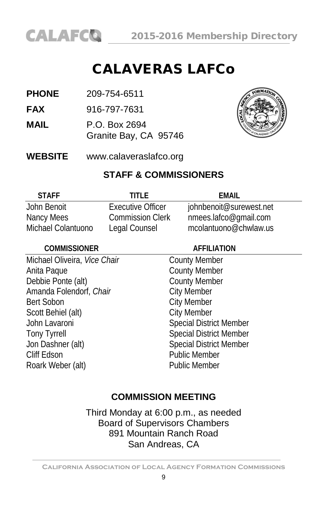

# CALAVERAS LAFCo

**PHONE** 209-754-6511

**FAX** 916-797-7631

**MAIL** P.O. Box 2694 Granite Bay, CA 95746



**WEBSITE** www.calaveraslafco.org

#### **STAFF & COMMISSIONERS**

| <b>STAFF</b>       | TITI F                   | FMAIL                   |
|--------------------|--------------------------|-------------------------|
| John Benoit        | <b>Executive Officer</b> | johnbenoit@surewest.net |
| Nancy Mees         | <b>Commission Clerk</b>  | nmees.lafco@gmail.com   |
| Michael Colantuono | Legal Counsel            | mcolantuono@chwlaw.us   |

| <b>COMMISSIONER</b>          | <b>AFFILIATION</b>             |  |
|------------------------------|--------------------------------|--|
| Michael Oliveira, Vice Chair | <b>County Member</b>           |  |
| Anita Paque                  | <b>County Member</b>           |  |
| Debbie Ponte (alt)           | <b>County Member</b>           |  |
| Amanda Folendorf, Chair      | <b>City Member</b>             |  |
| <b>Bert Sobon</b>            | <b>City Member</b>             |  |
| Scott Behiel (alt)           | <b>City Member</b>             |  |
| John Lavaroni                | <b>Special District Member</b> |  |
| <b>Tony Tyrrell</b>          | <b>Special District Member</b> |  |
| Jon Dashner (alt)            | <b>Special District Member</b> |  |
| Cliff Edson                  | <b>Public Member</b>           |  |
| Roark Weber (alt)            | <b>Public Member</b>           |  |
|                              |                                |  |

# **COMMISSION MEETING**

Third Monday at 6:00 p.m., as needed Board of Supervisors Chambers 891 Mountain Ranch Road San Andreas, CA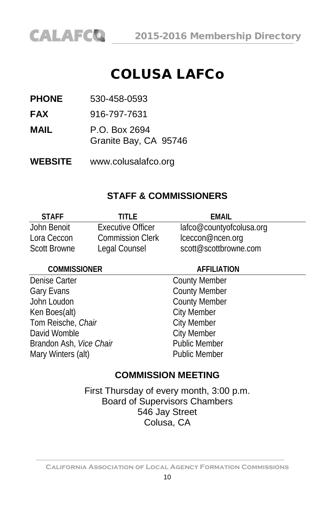

# COLUSA LAFCo

**PHONE** 530-458-0593

**FAX** 916-797-7631

**MAIL** P.O. Box 2694 Granite Bay, CA 95746

**WEBSITE** [www.colusalafco.org](http://www.colusalafco.org/)

### **STAFF & COMMISSIONERS**

| <b>STAFF</b>        | titi f                   | FMAIL                    |
|---------------------|--------------------------|--------------------------|
| John Benoit         | <b>Executive Officer</b> | lafco@countyofcolusa.org |
| Lora Ceccon         | <b>Commission Clerk</b>  | lceccon@ncen.org         |
| <b>Scott Browne</b> | Legal Counsel            | scott@scottbrowne.com    |

#### **COMMISSIONER AFFILIATION**

Denise Carter **County Member** Gary Evans **County Member** John Loudon County Member<br>
Ken Boes(alt) City Member Tom Reische, *Chair* **City Member**<br>
David Womble **City Member** David Womble **City Member**<br>Brandon Ash *Vice Chair* **Charles Access** Public Member Brandon Ash, *Vice Chair* Mary Winters (alt) **Public Member** 

City Member

### **COMMISSION MEETING**

First Thursday of every month, 3:00 p.m. Board of Supervisors Chambers 546 Jay Street Colusa, CA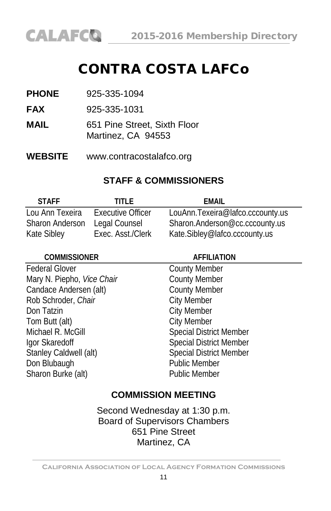# CONTRA COSTA LAFCo

| 925-335-1094 |
|--------------|
|              |

**FAX** 925-335-1031

- **MAIL** 651 Pine Street, Sixth Floor Martinez, CA 94553
- **WEBSITE** www.contracostalafco.org

# **STAFF & COMMISSIONERS**

| <b>STAFF</b>           | TITI F                   | FMAIL                            |
|------------------------|--------------------------|----------------------------------|
| Lou Ann Texeira        | <b>Executive Officer</b> | LouAnn.Texeira@lafco.cccounty.us |
| <b>Sharon Anderson</b> | Legal Counsel            | Sharon.Anderson@cc.cccounty.us   |
| Kate Sibley            | Exec. Asst./Clerk        | Kate.Sibley@lafco.cccounty.us    |

| <b>COMMISSIONER</b>        | <b>AFFILIATION</b>             |  |
|----------------------------|--------------------------------|--|
| <b>Federal Glover</b>      | <b>County Member</b>           |  |
| Mary N. Piepho, Vice Chair | <b>County Member</b>           |  |
| Candace Andersen (alt)     | <b>County Member</b>           |  |
| Rob Schroder, Chair        | <b>City Member</b>             |  |
| Don Tatzin                 | <b>City Member</b>             |  |
| Tom Butt (alt)             | <b>City Member</b>             |  |
| Michael R. McGill          | <b>Special District Member</b> |  |
| Igor Skaredoff             | <b>Special District Member</b> |  |
| Stanley Caldwell (alt)     | <b>Special District Member</b> |  |
| Don Blubaugh               | <b>Public Member</b>           |  |
| Sharon Burke (alt)         | <b>Public Member</b>           |  |
|                            |                                |  |

# **COMMISSION MEETING**

Second Wednesday at 1:30 p.m. Board of Supervisors Chambers 651 Pine Street Martinez, CA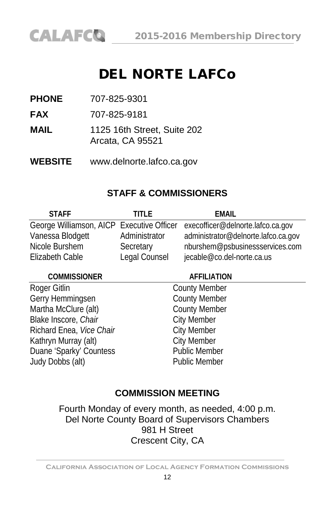# DEL NORTE LAFCo

**PHONE** 707-825-9301

**FAX** 707-825-9181

**MAIL** 1125 16th Street, Suite 202 Arcata, CA 95521

**WEBSITE** [www.delnorte.lafco.ca.gov](http://www.delnorte.lafco.ca.gov/)

# **STAFF & COMMISSIONERS**

| <b>STAFF</b>     | TITI F        | <b>EMAIL</b>                                                                |
|------------------|---------------|-----------------------------------------------------------------------------|
|                  |               | George Williamson, AICP Executive Officer execofficer@delnorte.lafco.ca.gov |
| Vanessa Blodgett | Administrator | administrator@delnorte.lafco.ca.gov                                         |
| Nicole Burshem   | Secretary     | nburshem@psbusinessservices.com                                             |
| Elizabeth Cable  | Legal Counsel | jecable@co.del-norte.ca.us                                                  |

**COMMISSIONER AFFILIATION** Roger Gitlin County Member<br>
County Member<br>
County Member Gerry Hemmingsen Martha McClure (alt) County Member Blake Inscore, *Chair* **City Member** Richard Enea, *Vice Chair* City Member Kathryn Murray (alt) City Member Duane 'Sparky' Countess Public Member Judy Dobbs (alt) Public Member

# **COMMISSION MEETING**

Fourth Monday of every month, as needed, 4:00 p.m. Del Norte County Board of Supervisors Chambers 981 H Street Crescent City, CA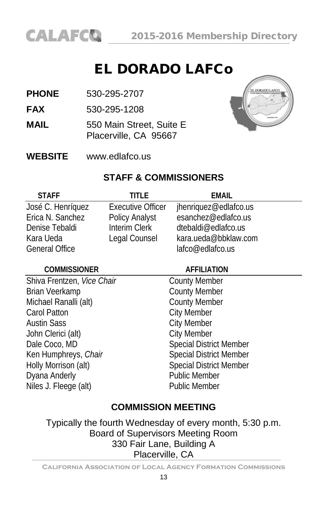# EL DORADO LAFCo

- **PHONE** 530-295-2707
- **FAX** 530-295-1208
- **MAIL** 550 Main Street, Suite E Placerville, CA 95667



**WEBSITE** [www.edlafco.us](http://www.co.el-dorado.ca.us/lafco)

# **STAFF & COMMISSIONERS**

| <b>STAFF</b>          | TITI F                   | FMAIL                 |
|-----------------------|--------------------------|-----------------------|
| José C. Henríquez     | <b>Executive Officer</b> | jhenriquez@edlafco.us |
| Erica N. Sanchez      | Policy Analyst           | esanchez@edlafco.us   |
| Denise Tebaldi        | Interim Clerk            | dtebaldi@edlafco.us   |
| Kara Ueda             | Legal Counsel            | kara.ueda@bbklaw.com  |
| <b>General Office</b> |                          | lafco@edlafco.us      |

#### **COMMISSIONER AFFILIATION**

Shiva Frentzen, *Vice Chair* County Member<br>
Brian Veerkamp<br>
County Member Brian Veerkamp<br>
Michael Ranalli (alt) County Member<br>
County Member Michael Ranalli (alt) Carol Patton Carol Patton City Member Austin Sass<br>
John Clerici (alt)<br>
City Member<br>
City Member John Clerici (alt) Dale Coco, MD Special District Member Ken Humphreys, *Chair* Special District Member<br>
Holly Morrison (alt) Special District Member Dyana Anderly Niles J. Fleege (alt) Public Member

Special District Member<br>Public Member

# **COMMISSION MEETING**

Typically the fourth Wednesday of every month, 5:30 p.m. Board of Supervisors Meeting Room 330 Fair Lane, Building A Placerville, CA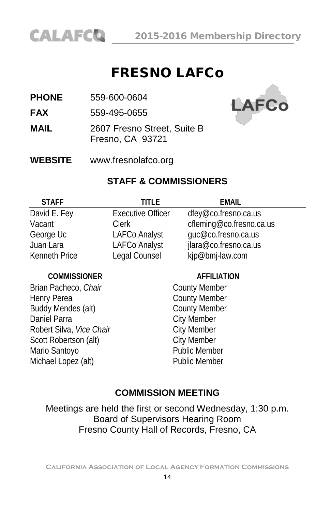

# FRESNO LAFCo

**PHONE** 559-600-0604

**FAX** 559-495-0655

**MAIL** 2607 Fresno Street, Suite B Fresno, CA 93721



**WEBSITE** www.fresnolafco.org

#### **STAFF & COMMISSIONERS**

| <b>STAFF</b>         | titi f                   | <b>EMAIL</b>             |
|----------------------|--------------------------|--------------------------|
| David E. Fey         | <b>Executive Officer</b> | dfey@co.fresno.ca.us     |
| Vacant               | <b>Clerk</b>             | cfleming@co.fresno.ca.us |
| George Uc            | <b>LAFCo Analyst</b>     | guc@co.fresno.ca.us      |
| Juan Lara            | <b>LAFCo Analyst</b>     | jlara@co.fresno.ca.us    |
| <b>Kenneth Price</b> | Legal Counsel            | kjp@bmj-law.com          |

#### **COMMISSIONER AFFILIATION**

Brian Pacheco, *Chair* County Member Henry Perea<br>
Buddy Mendes (alt) County Member<br>
County Member Buddy Mendes (alt) Daniel Parra City Member Robert Silva, *Vice Chair*<br>
Scott Robertson (alt) City Member Scott Robertson (alt)<br>
Mario Santovo<br>
Mario Santovo Mario Santoyo Michael Lopez (alt) Public Member

### **COMMISSION MEETING**

Meetings are held the first or second Wednesday, 1:30 p.m. Board of Supervisors Hearing Room Fresno County Hall of Records, Fresno, CA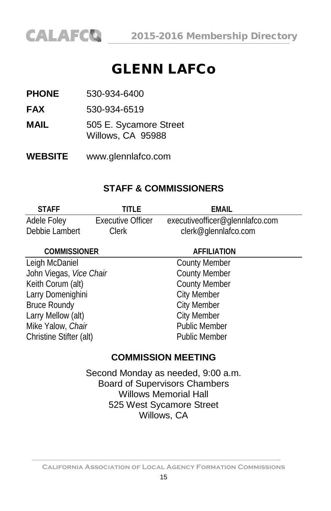# GLENN LAFCo

**PHONE** 530-934-6400

**FAX** 530-934-6519

- **MAIL** 505 E. Sycamore Street Willows, CA 95988
- **WEBSITE** www.glennlafco.com

# **STAFF & COMMISSIONERS**

| <b>STAFF</b>   | TITI F            | EMAIL                           |  |
|----------------|-------------------|---------------------------------|--|
| Adele Foley    | Executive Officer | executiveofficer@glennlafco.com |  |
| Debbie Lambert | <b>Clerk</b>      | clerk@glennlafco.com            |  |

#### **COMMISSIONER AFFILIATION**

Leigh McDaniel **County Member** John Viegas, *Vice Chair* County Member Keith Corum (alt) County Member Larry Domenighini **City Member** Bruce Roundy **City Member** Larry Mellow (alt) City Member Mike Yalow, *Chair* **Public Member** Christine Stifter (alt) Public Member

# **COMMISSION MEETING**

Second Monday as needed, 9:00 a.m. Board of Supervisors Chambers Willows Memorial Hall 525 West Sycamore Street Willows, CA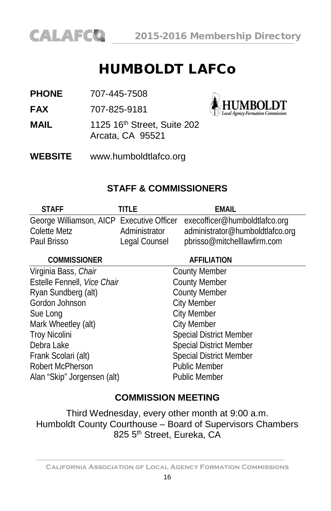

# HUMBOLDT LAFCo

**PHONE** 707-445-7508

**FAX** 707-825-9181

**MAIL** 1125 16<sup>th</sup> Street, Suite 202 Arcata, CA 95521



**WEBSITE** [www.humboldtlafco.org](http://www.humboldtlafco.org/)

# **STAFF & COMMISSIONERS**

| <b>STAFF</b> | TITI F        | FMAIL                                                                   |
|--------------|---------------|-------------------------------------------------------------------------|
|              |               | George Williamson, AICP Executive Officer execofficer@humboldtlafco.org |
| Colette Metz | Administrator | administrator@humboldtlafco.org                                         |
| Paul Brisso  | Legal Counsel | pbrisso@mitchelllawfirm.com                                             |

# **COMMISSIONER AFFILIATION** Virginia Bass, *Chair* County Member Estelle Fennell, *Vice Chair* County Member Ryan Sundberg (alt) County Member Gordon Johnson City Member Sue Long City Member Mark Wheetley (alt) City Member Troy Nicolini **Special District Member** Debra Lake Special District Member Frank Scolari (alt) Special District Member Robert McPherson Public Member Alan "Skip" Jorgensen (alt) Public Member

# **COMMISSION MEETING**

Third Wednesday, every other month at 9:00 a.m. Humboldt County Courthouse – Board of Supervisors Chambers 825 5<sup>th</sup> Street, Eureka, CA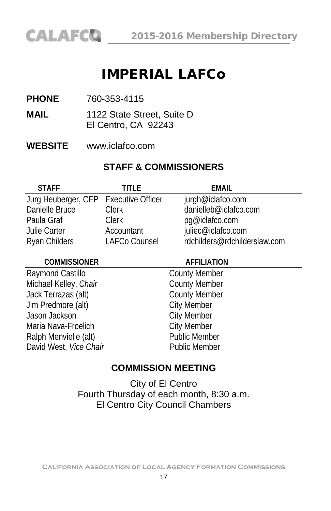# IMPERIAL LAFCo

- **PHONE** 760-353-4115
- **MAIL** 1122 State Street, Suite D El Centro, CA 92243
- **WEBSITE** www.iclafco.com

# **STAFF & COMMISSIONERS**

| TITI F                                | <b>FMAII</b>                 |
|---------------------------------------|------------------------------|
| Jurg Heuberger, CEP Executive Officer | jurgh@iclafco.com            |
| <b>Clerk</b>                          | danielleb@iclafco.com        |
| Clerk                                 | pg@iclafco.com               |
| Accountant                            | juliec@iclafco.com           |
| LAFCo Counsel                         | rdchilders@rdchilderslaw.com |
|                                       |                              |

#### **COMMISSIONER AFFILIATION**

Raymond Castillo **County Member** Michael Kelley, *Chair* County Member Jack Terrazas (alt) County Member Jim Predmore (alt) City Member Jason Jackson **City Member** Maria Nava-Froelich City Member Ralph Menvielle (alt) Public Member David West, *Vice Chair* Public Member

# **COMMISSION MEETING**

City of El Centro Fourth Thursday of each month, 8:30 a.m. El Centro City Council Chambers

**California Association of Local Agency Formation Commissions**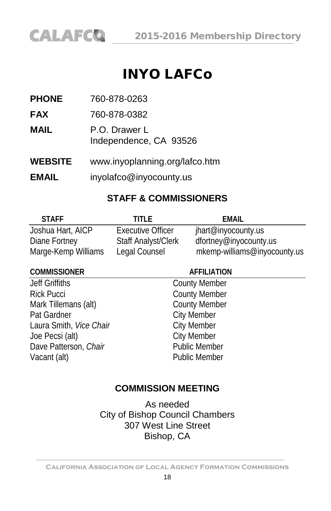

# INYO LAFCo

**PHONE** 760-878-0263

**FAX** 760-878-0382

**MAIL** P.O. Drawer L Independence, CA 93526

**WEBSITE** [www.inyoplanning.org/lafco.htm](http://www.countyofinyo.org/planning/lafco.html)

**EMAIL** inyolafco@inyocounty.us

# **STAFF & COMMISSIONERS**

| <b>STAFF</b>        | TITI F                     | FMAIL                        |
|---------------------|----------------------------|------------------------------|
| Joshua Hart, AICP   | Executive Officer          | jhart@inyocounty.us          |
| Diane Fortney       | <b>Staff Analyst/Clerk</b> | dfortney@inyocounty.us       |
| Marge-Kemp Williams | Legal Counsel              | mkemp-williams@inyocounty.us |

#### **COMMISSIONER AFFILIATION**

Jeff Griffiths County Member Rick Pucci<br>
Mark Tillemans (alt) County Member<br>
County Member Mark Tillemans (alt) Pat Gardner City Member<br>
Laura Smith, *Vice Chair* City Member Laura Smith, *Vice Chair*<br>
Joe Pecsi (alt) City Member Joe Pecsi (alt) Dave Patterson, *Chair* Public Member Vacant (alt) **Public Member** 

# **COMMISSION MEETING**

As needed City of Bishop Council Chambers 307 West Line Street Bishop, CA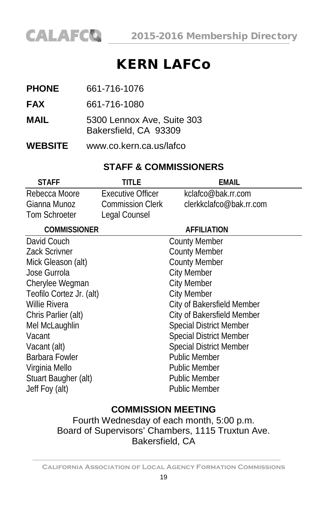

# KERN LAFCo

- **PHONE** 661-716-1076
- **FAX** 661-716-1080
- **MAIL** 5300 Lennox Ave, Suite 303 Bakersfield, CA 93309
- **WEBSITE** [www.co.kern.ca.us/lafco](http://www.co.kern.ca.us/lafco)

# **STAFF & COMMISSIONERS**

| <b>STAFF</b>             | title             | EMAIL                          |
|--------------------------|-------------------|--------------------------------|
| Rebecca Moore            | Executive Officer | kclafco@bak.rr.com             |
| Gianna Munoz             | Commission Clerk  | clerkkclafco@bak.rr.com        |
| <b>Tom Schroeter</b>     | Legal Counsel     |                                |
| <b>COMMISSIONER</b>      |                   | <b>AFFILIATION</b>             |
| David Couch              |                   | <b>County Member</b>           |
| <b>Zack Scrivner</b>     |                   | <b>County Member</b>           |
| Mick Gleason (alt)       |                   | <b>County Member</b>           |
| Jose Gurrola             |                   | <b>City Member</b>             |
| Cherylee Wegman          |                   | <b>City Member</b>             |
| Teofilo Cortez Jr. (alt) |                   | <b>City Member</b>             |
| Willie Rivera            |                   | City of Bakersfield Member     |
| Chris Parlier (alt)      |                   | City of Bakersfield Member     |
| Mel McLaughlin           |                   | <b>Special District Member</b> |
| Vacant                   |                   | Special District Member        |
| Vacant (alt)             |                   | <b>Special District Member</b> |
| Barbara Fowler           |                   | <b>Public Member</b>           |
| Virginia Mello           |                   | <b>Public Member</b>           |
| Stuart Baugher (alt)     |                   | <b>Public Member</b>           |
| Jeff Foy (alt)           |                   | Public Member                  |

# **COMMISSION MEETING**

Fourth Wednesday of each month, 5:00 p.m. Board of Supervisors' Chambers, 1115 Truxtun Ave. Bakersfield, CA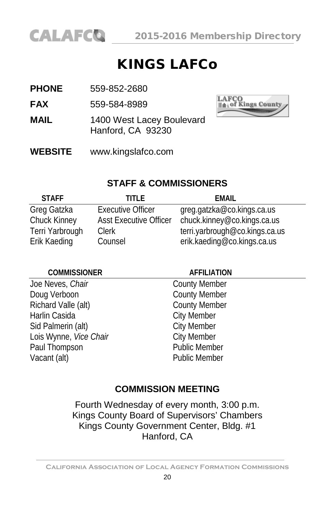

# KINGS LAFCo

- **PHONE** 559-852-2680
- **FAX** 559-584-8989
- **MAIL** 1400 West Lacey Boulevard Hanford, CA 93230
- **WEBSITE** [www.kingslafco.com](http://www.kingslafco.com/)



# **STAFF & COMMISSIONERS**

| <b>STAFF</b>    | TITI F                        | FMAIL                          |
|-----------------|-------------------------------|--------------------------------|
| Greg Gatzka     | <b>Executive Officer</b>      | greg.gatzka@co.kings.ca.us     |
| Chuck Kinney    | <b>Asst Executive Officer</b> | chuck.kinney@co.kings.ca.us    |
| Terri Yarbrough | <b>Clerk</b>                  | terri.yarbrough@co.kings.ca.us |
| Erik Kaeding    | Counsel                       | erik.kaeding@co.kings.ca.us    |

## **COMMISSIONER AFFILIATION** Joe Neves, *Chair* County Member Doug Verboon County Member Richard Valle (alt) County Member Harlin Casida **City Member** Sid Palmerin (alt) City Member Lois Wynne, *Vice Chair* City Member Paul Thompson **Public Member** Vacant (alt) **Public Member**

# **COMMISSION MEETING**

Fourth Wednesday of every month, 3:00 p.m. Kings County Board of Supervisors' Chambers Kings County Government Center, Bldg. #1 Hanford, CA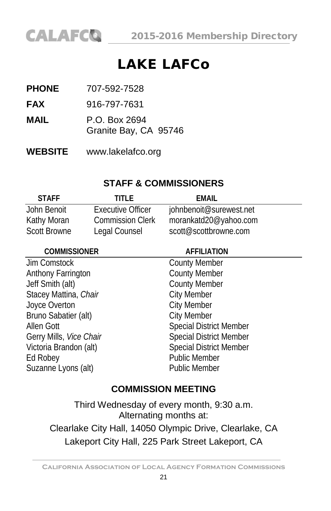# LAKE LAFCo

- **PHONE** 707-592-7528
- **FAX** 916-797-7631
- **MAIL** P.O. Box 2694
	- Granite Bay, CA 95746
- **WEBSITE** [www.lakelafco.org](http://www.lakelafco.org/)

# **STAFF & COMMISSIONERS**

| <b>STAFF</b>        | TITI F                  | FMAIL                   |
|---------------------|-------------------------|-------------------------|
| John Benoit         | Executive Officer       | johnbenoit@surewest.net |
| Kathy Moran         | <b>Commission Clerk</b> | morankatd20@yahoo.com   |
| <b>Scott Browne</b> | Legal Counsel           | scott@scottbrowne.com   |

| <b>COMMISSIONER</b>     | <b>AFFILIATION</b>             |
|-------------------------|--------------------------------|
| Jim Comstock            | <b>County Member</b>           |
| Anthony Farrington      | <b>County Member</b>           |
| Jeff Smith (alt)        | <b>County Member</b>           |
| Stacey Mattina, Chair   | <b>City Member</b>             |
| Joyce Overton           | <b>City Member</b>             |
| Bruno Sabatier (alt)    | <b>City Member</b>             |
| Allen Gott              | <b>Special District Member</b> |
| Gerry Mills, Vice Chair | <b>Special District Member</b> |
| Victoria Brandon (alt)  | <b>Special District Member</b> |
| Ed Robey                | <b>Public Member</b>           |
| Suzanne Lyons (alt)     | <b>Public Member</b>           |

# **COMMISSION MEETING**

Third Wednesday of every month, 9:30 a.m. Alternating months at: Clearlake City Hall, 14050 Olympic Drive, Clearlake, CA Lakeport City Hall, 225 Park Street Lakeport, CA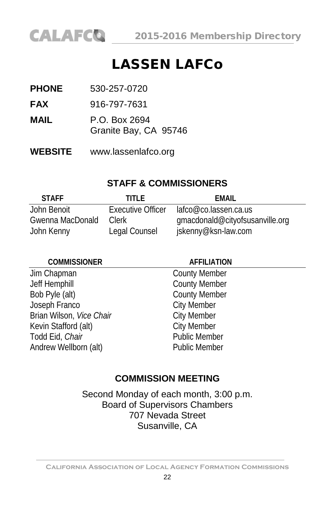

# LASSEN LAFCo

| <b>PHONE</b> | 530-257-0720                           |  |
|--------------|----------------------------------------|--|
| <b>FAX</b>   | 916-797-7631                           |  |
| MAIL         | P.O. Box 2694<br>Granite Bay, CA 95746 |  |

**WEBSITE** [www.lassenlafco.org](http://www.lassenlafco.org/)

### **STAFF & COMMISSIONERS**

| <b>STAFF</b>     | TITI F                   | FMAIL                           |
|------------------|--------------------------|---------------------------------|
| John Benoit      | <b>Executive Officer</b> | lafco@co.lassen.ca.us           |
| Gwenna MacDonald | Clerk                    | gmacdonald@cityofsusanville.org |
| John Kenny       | Legal Counsel            | jskenny@ksn-law.com             |

| <b>COMMISSIONER</b>      | <b>AFFILIATION</b>   |
|--------------------------|----------------------|
| Jim Chapman              | <b>County Member</b> |
| Jeff Hemphill            | <b>County Member</b> |
| Bob Pyle (alt)           | <b>County Member</b> |
| Joseph Franco            | <b>City Member</b>   |
| Brian Wilson, Vice Chair | <b>City Member</b>   |
| Kevin Stafford (alt)     | <b>City Member</b>   |
| Todd Eid, Chair          | <b>Public Member</b> |
| Andrew Wellborn (alt)    | <b>Public Member</b> |

### **COMMISSION MEETING**

Second Monday of each month, 3:00 p.m. Board of Supervisors Chambers 707 Nevada Street Susanville, CA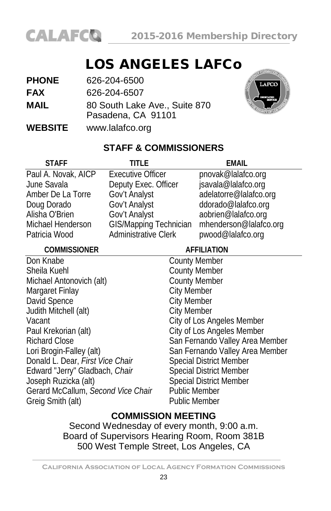

# LOS ANGELES LAFCo

| <b>PHONE</b>   | 626-204-6500                                        |
|----------------|-----------------------------------------------------|
| <b>FAX</b>     | 626-204-6507                                        |
| <b>MAIL</b>    | 80 South Lake Ave., Suite 870<br>Pasadena, CA 91101 |
| <b>WEBSITE</b> | www.lalafco.org                                     |



# **STAFF & COMMISSIONERS**

| <b>STAFF</b>                       | <b>TITLE</b>                  |                      | FMAII                           |
|------------------------------------|-------------------------------|----------------------|---------------------------------|
| Paul A. Novak, AICP                | <b>Executive Officer</b>      |                      | pnovak@lalafco.org              |
| June Savala                        | Deputy Exec. Officer          |                      | jsavala@lalafco.org             |
| Amber De La Torre                  | Gov't Analyst                 |                      | adelatorre@lalafco.org          |
| Doug Dorado                        | Gov't Analyst                 |                      | ddorado@lalafco.org             |
| Alisha O'Brien                     | Gov't Analyst                 |                      | aobrien@lalafco.org             |
| Michael Henderson                  | <b>GIS/Mapping Technician</b> |                      | mhenderson@lalafco.org          |
| Patricia Wood                      | <b>Administrative Clerk</b>   |                      | pwood@lalafco.org               |
| <b>COMMISSIONER</b>                |                               |                      | <b>AFFILIATION</b>              |
| Don Knabe                          |                               | <b>County Member</b> |                                 |
| Sheila Kuehl                       |                               | <b>County Member</b> |                                 |
| Michael Antonovich (alt)           |                               | <b>County Member</b> |                                 |
| Margaret Finlay                    |                               | <b>City Member</b>   |                                 |
| David Spence                       |                               | <b>City Member</b>   |                                 |
| Judith Mitchell (alt)              |                               | <b>City Member</b>   |                                 |
| Vacant                             |                               |                      | City of Los Angeles Member      |
| Paul Krekorian (alt)               |                               |                      | City of Los Angeles Member      |
| <b>Richard Close</b>               |                               |                      | San Fernando Valley Area Member |
| Lori Brogin-Falley (alt)           |                               |                      | San Fernando Valley Area Member |
| Donald L. Dear, First Vice Chair   |                               |                      | <b>Special District Member</b>  |
| Edward "Jerry" Gladbach, Chair     |                               |                      | <b>Special District Member</b>  |
| Joseph Ruzicka (alt)               |                               |                      | <b>Special District Member</b>  |
| Gerard McCallum, Second Vice Chair |                               | <b>Public Member</b> |                                 |
| Greig Smith (alt)                  |                               | <b>Public Member</b> |                                 |

# **COMMISSION MEETING**

Second Wednesday of every month, 9:00 a.m. Board of Supervisors Hearing Room, Room 381B 500 West Temple Street, Los Angeles, CA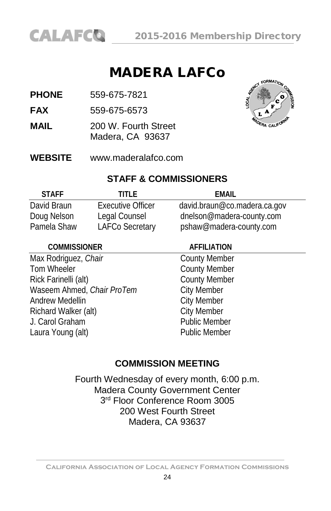

# MADERA LAFCo

**PHONE** 559-675-7821

**FAX** 559-675-6573

- **MAIL** 200 W. Fourth Street Madera, CA 93637
- **WEBSITE** [www.maderalafco.com](http://www.maderalafco.com/)



#### **STAFF & COMMISSIONERS**

| <b>STAFF</b> | TITI F                   | FMAIL                        |
|--------------|--------------------------|------------------------------|
| David Braun  | <b>Executive Officer</b> | david.braun@co.madera.ca.gov |
| Doug Nelson  | Legal Counsel            | dnelson@madera-county.com    |
| Pamela Shaw  | LAFCo Secretary          | pshaw@madera-county.com      |

## **COMMISSIONER AFFILIATION** Max Rodriguez, *Chair* County Member Tom Wheeler **County Member** Rick Farinelli (alt) County Member Waseem Ahmed, *Chair ProTem* City Member Andrew Medellin **City Member** Richard Walker (alt) City Member J. Carol Graham **Public Member** Laura Young (alt) **Public Member**

### **COMMISSION MEETING**

Fourth Wednesday of every month, 6:00 p.m. Madera County Government Center 3<sup>rd</sup> Floor Conference Room 3005 200 West Fourth Street Madera, CA 93637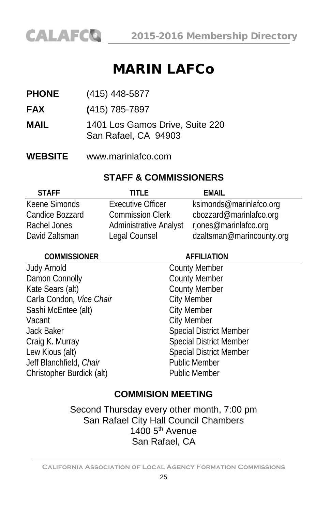# MARIN LAFCo

- **PHONE** (415) 448-5877
- **FAX (**415) 785-7897
- **MAIL** 1401 Los Gamos Drive, Suite 220 San Rafael, CA 94903
- **WEBSITE** [www.marinlafco.com](http://www.marinlafco.com/)

#### **STAFF & COMMISSIONERS**

| <b>STAFF</b>    | TITI F                        | FMAIL                     |
|-----------------|-------------------------------|---------------------------|
| Keene Simonds   | <b>Executive Officer</b>      | ksimonds@marinlafco.org   |
| Candice Bozzard | <b>Commission Clerk</b>       | cbozzard@marinlafco.org   |
| Rachel Jones    | <b>Administrative Analyst</b> | rjones@marinlafco.org     |
| David Zaltsman  | Legal Counsel                 | dzaltsman@marincounty.org |

| <b>COMMISSIONER</b>       | <b>AFFILIATION</b>             |  |
|---------------------------|--------------------------------|--|
| Judy Arnold               | <b>County Member</b>           |  |
| Damon Connolly            | <b>County Member</b>           |  |
| Kate Sears (alt)          | <b>County Member</b>           |  |
| Carla Condon, Vice Chair  | <b>City Member</b>             |  |
| Sashi McEntee (alt)       | <b>City Member</b>             |  |
| Vacant                    | <b>City Member</b>             |  |
| Jack Baker                | <b>Special District Member</b> |  |
| Craig K. Murray           | <b>Special District Member</b> |  |
| Lew Kious (alt)           | <b>Special District Member</b> |  |
| Jeff Blanchfield, Chair   | <b>Public Member</b>           |  |
| Christopher Burdick (alt) | <b>Public Member</b>           |  |
|                           |                                |  |

### **COMMISION MEETING**

Second Thursday every other month, 7:00 pm San Rafael City Hall Council Chambers  $1400$  5<sup>th</sup> Avenue San Rafael, CA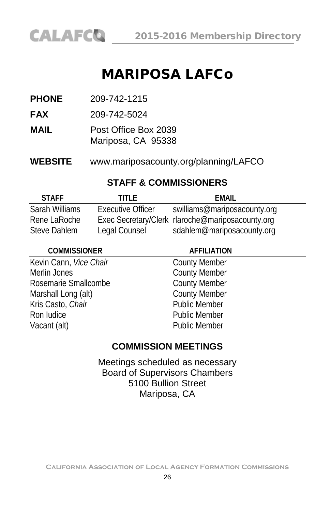# MARIPOSA LAFCo

**PHONE** 209-742-1215

**FAX** 209-742-5024

**MAIL** Post Office Box 2039 Mariposa, CA 95338

**WEBSITE** www.mariposacounty.org/planning/LAFCO

# **STAFF & COMMISSIONERS**

| <b>STAFF</b>   | TITI F            | FMAIL                                            |
|----------------|-------------------|--------------------------------------------------|
| Sarah Williams | Executive Officer | swilliams@mariposacounty.org                     |
| Rene LaRoche   |                   | Exec Secretary/Clerk rlaroche@mariposacounty.org |
| Steve Dahlem   | Legal Counsel     | sdahlem@mariposacounty.org                       |

| <b>COMMISSIONER</b>    | <b>AFFILIATION</b>   |
|------------------------|----------------------|
| Kevin Cann, Vice Chair | <b>County Member</b> |
| Merlin Jones           | <b>County Member</b> |
| Rosemarie Smallcombe   | <b>County Member</b> |
| Marshall Long (alt)    | <b>County Member</b> |
| Kris Casto, Chair      | <b>Public Member</b> |
| Ron Iudice             | <b>Public Member</b> |
| Vacant (alt)           | <b>Public Member</b> |

# **COMMISSION MEETINGS**

Meetings scheduled as necessary Board of Supervisors Chambers 5100 Bullion Street Mariposa, CA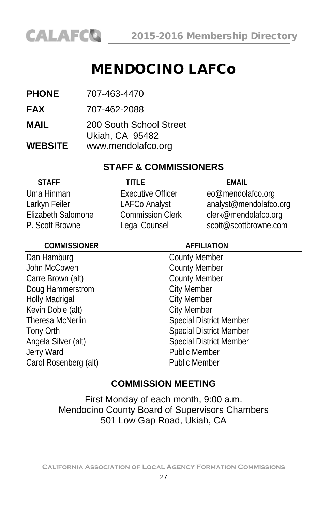

# MENDOCINO LAFCo

- **PHONE** 707-463-4470
- **FAX** 707-462-2088
- **MAIL** 200 South School Street Ukiah, CA 95482
- **WEBSITE** [www.mendolafco.org](http://www.mendolafco.org/)

## **STAFF & COMMISSIONERS**

| <b>STAFF</b>       | TITI F                   | FMAIL                  |
|--------------------|--------------------------|------------------------|
| Uma Hinman         | <b>Executive Officer</b> | eo@mendolafco.org      |
| Larkyn Feiler      | LAFCo Analyst            | analyst@mendolafco.org |
| Elizabeth Salomone | <b>Commission Clerk</b>  | clerk@mendolafco.org   |
| P. Scott Browne    | Legal Counsel            | scott@scottbrowne.com  |

| <b>COMMISSIONER</b>   | <b>AFFILIATION</b>             |  |
|-----------------------|--------------------------------|--|
| Dan Hamburg           | <b>County Member</b>           |  |
| John McCowen          | <b>County Member</b>           |  |
| Carre Brown (alt)     | <b>County Member</b>           |  |
| Doug Hammerstrom      | <b>City Member</b>             |  |
| <b>Holly Madrigal</b> | <b>City Member</b>             |  |
| Kevin Doble (alt)     | <b>City Member</b>             |  |
| Theresa McNerlin      | <b>Special District Member</b> |  |
| Tony Orth             | <b>Special District Member</b> |  |
| Angela Silver (alt)   | <b>Special District Member</b> |  |
| Jerry Ward            | <b>Public Member</b>           |  |
| Carol Rosenberg (alt) | <b>Public Member</b>           |  |
|                       |                                |  |

# **COMMISSION MEETING**

First Monday of each month, 9:00 a.m. Mendocino County Board of Supervisors Chambers 501 Low Gap Road, Ukiah, CA

**California Association of Local Agency Formation Commissions**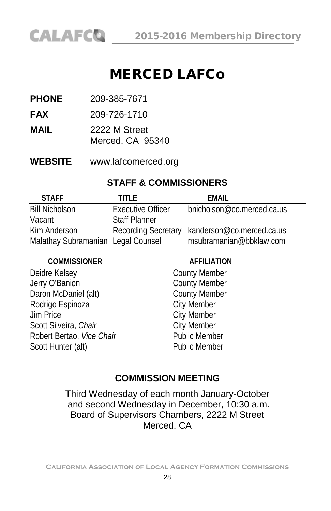# MERCED LAFCo

**PHONE** 209-385-7671

- **FAX** 209-726-1710
- **MAIL** 2222 M Street Merced, CA 95340
- **WEBSITE** [www.lafcomerced.org](http://www.lafcomerced.org/)

# **STAFF & COMMISSIONERS**

| <b>STAFF</b>                       | TITI F               | FMAIL                                         |
|------------------------------------|----------------------|-----------------------------------------------|
| <b>Bill Nicholson</b>              | Executive Officer    | bnicholson@co.merced.ca.us                    |
| Vacant                             | <b>Staff Planner</b> |                                               |
| Kim Anderson                       |                      | Recording Secretary kanderson@co.merced.ca.us |
| Malathay Subramanian Legal Counsel |                      | msubramanian@bbklaw.com                       |

| <b>COMMISSIONER</b>       | <b>AFFILIATION</b>   |  |
|---------------------------|----------------------|--|
| Deidre Kelsey             | <b>County Member</b> |  |
| Jerry O'Banion            | <b>County Member</b> |  |
| Daron McDaniel (alt)      | <b>County Member</b> |  |
| Rodrigo Espinoza          | <b>City Member</b>   |  |
| <b>Jim Price</b>          | <b>City Member</b>   |  |
| Scott Silveira, Chair     | <b>City Member</b>   |  |
| Robert Bertao, Vice Chair | <b>Public Member</b> |  |
| Scott Hunter (alt)        | <b>Public Member</b> |  |
|                           |                      |  |

# **COMMISSION MEETING**

Third Wednesday of each month January-October and second Wednesday in December, 10:30 a.m. Board of Supervisors Chambers, 2222 M Street Merced, CA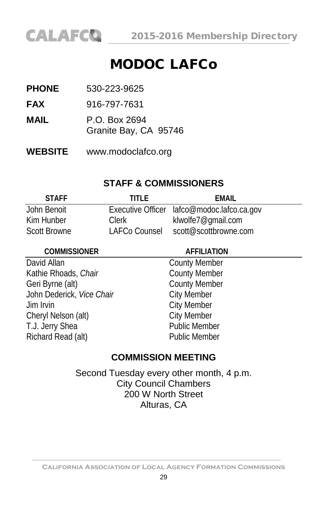# MODOC LAFCo

- **PHONE** 530-223-9625
- **FAX** 916-797-7631
- **MAIL** P.O. Box 2694
	- Granite Bay, CA 95746
- **WEBSITE** [www.modoclafco.org](http://www.modoc.lafco.ca.gov/)

# **STAFF & COMMISSIONERS**

| <b>STAFF</b>        | TITI F        | FMAIL                                      |
|---------------------|---------------|--------------------------------------------|
| John Benoit         |               | Executive Officer lafco@modoc.lafco.ca.gov |
| Kim Hunber          | Clerk         | klwolfe7@qmail.com                         |
| <b>Scott Browne</b> | LAFCo Counsel | scott@scottbrowne.com                      |

| <b>COMMISSIONER</b>       | <b>AFFILIATION</b>   |  |
|---------------------------|----------------------|--|
| David Allan               | <b>County Member</b> |  |
| Kathie Rhoads, Chair      | <b>County Member</b> |  |
| Geri Byrne (alt)          | <b>County Member</b> |  |
| John Dederick, Vice Chair | <b>City Member</b>   |  |
| Jim Irvin                 | <b>City Member</b>   |  |
| Cheryl Nelson (alt)       | <b>City Member</b>   |  |
| T.J. Jerry Shea           | <b>Public Member</b> |  |
| Richard Read (alt)        | <b>Public Member</b> |  |

# **COMMISSION MEETING**

Second Tuesday every other month, 4 p.m. City Council Chambers 200 W North Street Alturas, CA

**California Association of Local Agency Formation Commissions**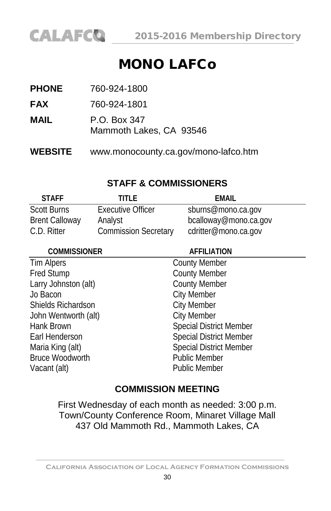

# MONO LAFCo

| <b>WEBSITE</b> | www.monocounty.ca.gov/mono-lafco.htm    |
|----------------|-----------------------------------------|
| MAIL           | P.O. Box 347<br>Mammoth Lakes, CA 93546 |
| <b>FAX</b>     | 760-924-1801                            |
| <b>PHONE</b>   | 760-924-1800                            |

# **STAFF & COMMISSIONERS**

| <b>STAFF</b>          | TITI F                      | FMAIL                 |  |
|-----------------------|-----------------------------|-----------------------|--|
| <b>Scott Burns</b>    | <b>Executive Officer</b>    | sburns@mono.ca.gov    |  |
| <b>Brent Calloway</b> | Analyst                     | bcalloway@mono.ca.gov |  |
| C.D. Ritter           | <b>Commission Secretary</b> | cdritter@mono.ca.gov  |  |

| <b>COMMISSIONER</b>    | <b>AFFILIATION</b>             |
|------------------------|--------------------------------|
| Tim Alpers             | <b>County Member</b>           |
| <b>Fred Stump</b>      | <b>County Member</b>           |
| Larry Johnston (alt)   | <b>County Member</b>           |
| Jo Bacon               | <b>City Member</b>             |
| Shields Richardson     | <b>City Member</b>             |
| John Wentworth (alt)   | <b>City Member</b>             |
| Hank Brown             | <b>Special District Member</b> |
| Earl Henderson         | <b>Special District Member</b> |
| Maria King (alt)       | <b>Special District Member</b> |
| <b>Bruce Woodworth</b> | <b>Public Member</b>           |
| Vacant (alt)           | <b>Public Member</b>           |

# **COMMISSION MEETING**

First Wednesday of each month as needed: 3:00 p.m. Town/County Conference Room, Minaret Village Mall 437 Old Mammoth Rd., Mammoth Lakes, CA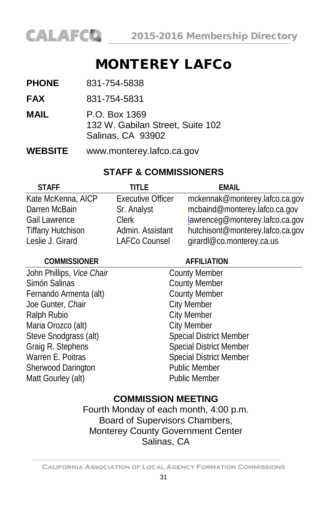

# MONTEREY LAFCo

| <b>PHONE</b>   | 831-754-5838                                                           |
|----------------|------------------------------------------------------------------------|
| <b>FAX</b>     | 831-754-5831                                                           |
| MAIL           | P.O. Box 1369<br>132 W. Gabilan Street, Suite 102<br>Salinas, CA 93902 |
| <b>WEBSITE</b> | www.monterey.lafco.ca.gov                                              |

### **STAFF & COMMISSIONERS**

| <b>STAFF</b>             | TITI F                   | FMAIL                            |
|--------------------------|--------------------------|----------------------------------|
| Kate McKenna, AICP       | <b>Executive Officer</b> | mckennak@monterey.lafco.ca.gov   |
| Darren McBain            | Sr. Analyst              | mcbaind@monterey.lafco.ca.gov    |
| <b>Gail Lawrence</b>     | Clerk                    | lawrenceg@monterey.lafco.ca.gov  |
| <b>Tiffany Hutchison</b> | Admin. Assistant         | hutchisont@monterey.lafco.ca.gov |
| Leslie J. Girard         | LAFCo Counsel            | girardl@co.monterey.ca.us        |

#### **COMMISSIONER AFFILIATION**

**County Member** County Member County Member **City Member City Member** City Member Special District Member Special District Member Special District Member Public Member Public Member

# **COMMISSION MEETING**

Fourth Monday of each month, 4:00 p.m. Board of Supervisors Chambers, Monterey County Government Center Salinas, CA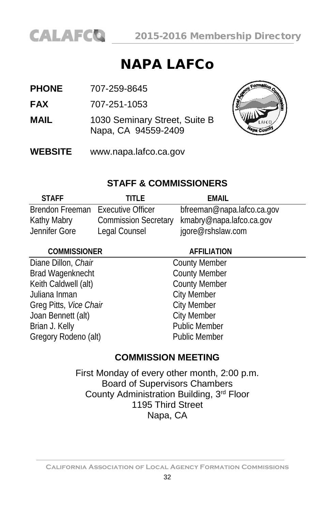

# NAPA LAFCo

**FAX** 707-251-1053

- **MAIL** 1030 Seminary Street, Suite B Napa, CA 94559-2409
- **WEBSITE** www.napa.lafco.ca.gov



# **STAFF & COMMISSIONERS**

| <b>STAFF</b>                      | TITI F                      | FMAIL                      |
|-----------------------------------|-----------------------------|----------------------------|
| Brendon Freeman Executive Officer |                             | bfreeman@napa.lafco.ca.gov |
| Kathy Mabry                       | <b>Commission Secretary</b> | kmabry@napa.lafco.ca.gov   |
| Jennifer Gore                     | Legal Counsel               | jgore@rshslaw.com          |

# **COMMISSIONER AFFILIATION** Diane Dillon, *Chair* County Member Brad Wagenknecht County Member Keith Caldwell (alt) County Member Juliana Inman City Member Greg Pitts, *Vice Chair* City Member Joan Bennett (alt) City Member Brian J. Kelly **Public Member** Gregory Rodeno (alt) Public Member

# **COMMISSION MEETING**

First Monday of every other month, 2:00 p.m. Board of Supervisors Chambers County Administration Building, 3rd Floor 1195 Third Street Napa, CA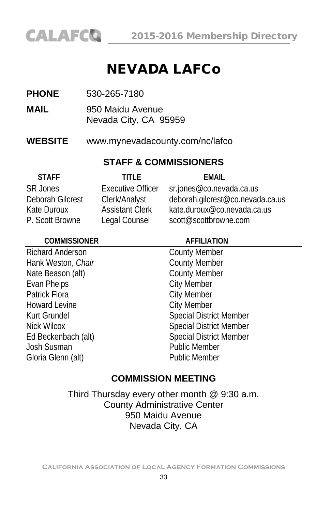

# NEVADA LAFCo

- **MAIL** 950 Maidu Avenue Nevada City, CA 95959
- **WEBSITE** [www.mynevadacounty.com/nc/lafco](http://www.mynevadacounty.com/nc/lafco)

# **STAFF & COMMISSIONERS**

| <b>STAFF</b>     | TITI F                   | FMAIL                            |
|------------------|--------------------------|----------------------------------|
| <b>SR Jones</b>  | <b>Executive Officer</b> | sr.jones@co.nevada.ca.us         |
| Deborah Gilcrest | Clerk/Analyst            | deborah.gilcrest@co.nevada.ca.us |
| Kate Duroux      | <b>Assistant Clerk</b>   | kate.duroux@co.nevada.ca.us      |
| P. Scott Browne  | Legal Counsel            | scott@scottbrowne.com            |

| <b>AFFILIATION</b>             |
|--------------------------------|
| <b>County Member</b>           |
| <b>County Member</b>           |
| <b>County Member</b>           |
| <b>City Member</b>             |
| <b>City Member</b>             |
| <b>City Member</b>             |
| <b>Special District Member</b> |
| <b>Special District Member</b> |
| <b>Special District Member</b> |
| <b>Public Member</b>           |
| <b>Public Member</b>           |
|                                |

### **COMMISSION MEETING**

Third Thursday every other month @ 9:30 a.m. County Administrative Center 950 Maidu Avenue Nevada City, CA

**California Association of Local Agency Formation Commissions**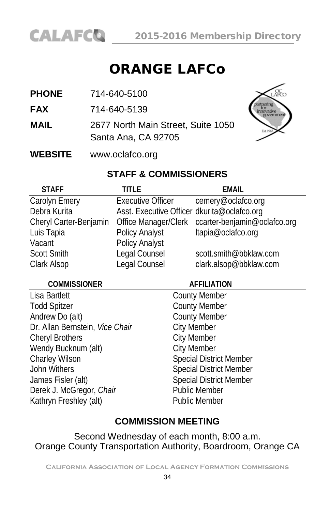

# ORANGE LAFCo

- **PHONE** 714-640-5100
- **FAX** 714-640-5139
- **MAIL** 2677 North Main Street, Suite 1050 Santa Ana, CA 92705



**WEBSITE** www.oclafco.org

# **STAFF & COMMISSIONERS**

| <b>STAFF</b>           | <b>TITLE</b>                                | <b>EMAIL</b>                                      |
|------------------------|---------------------------------------------|---------------------------------------------------|
| Carolyn Emery          | Executive Officer                           | cemery@oclafco.org                                |
| Debra Kurita           | Asst. Executive Officer dkurita@oclafco.org |                                                   |
| Cheryl Carter-Benjamin |                                             | Office Manager/Clerk ccarter-benjamin@oclafco.org |
| Luis Tapia             | Policy Analyst                              | ltapia@oclafco.org                                |
| Vacant                 | Policy Analyst                              |                                                   |
| Scott Smith            | Legal Counsel                               | scott.smith@bbklaw.com                            |
| Clark Alsop            | Legal Counsel                               | clark.alsop@bbklaw.com                            |

#### **COMMISSIONER AFFILIATION**

Lisa Bartlett **County Member** Todd Spitzer County Member Andrew Do (alt) County Member Dr. Allan Bernstein, Vice Chair City Member Cheryl Brothers City Member Wendy Bucknum (alt) City Member<br>
Charley Wilson Charles Special Distri John Withers Special District Member James Fisler (alt) Special District Member Derek J. McGregor, *Chair* Public Member Kathryn Freshley (alt) Public Member

# Special District Member

# **COMMISSION MEETING**

Second Wednesday of each month, 8:00 a.m. Orange County Transportation Authority, Boardroom, Orange CA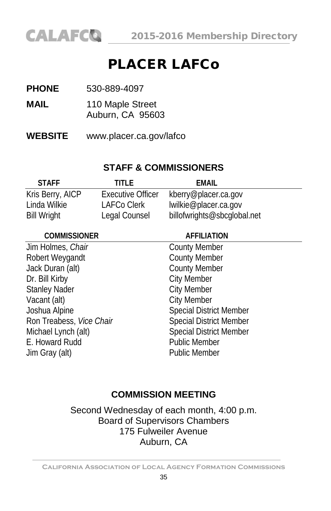

# PLACER LAFCo

- **PHONE** 530-889-4097
- **MAIL** 110 Maple Street Auburn, CA 95603
- **WEBSITE** www.placer.ca.gov/lafco

# **STAFF & COMMISSIONERS**

| <b>STAFF</b>       | TITI F            | FMAIL                       |
|--------------------|-------------------|-----------------------------|
| Kris Berry, AICP   | Executive Officer | kberry@placer.ca.gov        |
| Linda Wilkie       | LAFCo Clerk       | lwilkie@placer.ca.gov       |
| <b>Bill Wright</b> | Legal Counsel     | billofwrights@sbcglobal.net |

| <b>AFFILIATION</b>             |
|--------------------------------|
| <b>County Member</b>           |
| <b>County Member</b>           |
| <b>County Member</b>           |
| <b>City Member</b>             |
| <b>City Member</b>             |
| <b>City Member</b>             |
| <b>Special District Member</b> |
| <b>Special District Member</b> |
| <b>Special District Member</b> |
| <b>Public Member</b>           |
| <b>Public Member</b>           |
|                                |

# **COMMISSION MEETING**

Second Wednesday of each month, 4:00 p.m. Board of Supervisors Chambers 175 Fulweiler Avenue Auburn, CA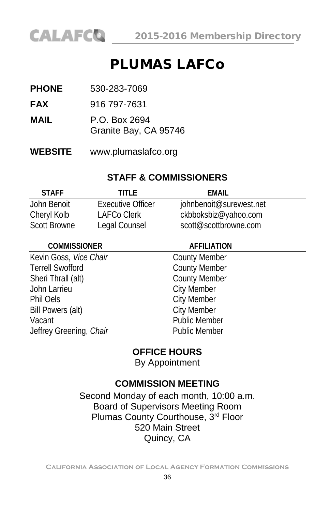

# PLUMAS LAFCo

- **PHONE** 530-283-7069
- **FAX** 916 797-7631
- **MAIL** P.O. Box 2694
	- Granite Bay, CA 95746
- **WEBSITE** www.plumaslafco.org

# **STAFF & COMMISSIONERS**

| <b>STAFF</b>        | TITI F            | FMAIL                   |
|---------------------|-------------------|-------------------------|
| John Benoit         | Executive Officer | johnbenoit@surewest.net |
| Cheryl Kolb         | LAFCo Clerk       | ckbboksbiz@yahoo.com    |
| <b>Scott Browne</b> | Legal Counsel     | scott@scottbrowne.com   |

| <b>AFFILIATION</b>   |
|----------------------|
| <b>County Member</b> |
| <b>County Member</b> |
| <b>County Member</b> |
| <b>City Member</b>   |
| <b>City Member</b>   |
| <b>City Member</b>   |
| <b>Public Member</b> |
| <b>Public Member</b> |
|                      |

# **OFFICE HOURS**

By Appointment

# **COMMISSION MEETING**

Second Monday of each month, 10:00 a.m. Board of Supervisors Meeting Room Plumas County Courthouse, 3rd Floor 520 Main Street Quincy, CA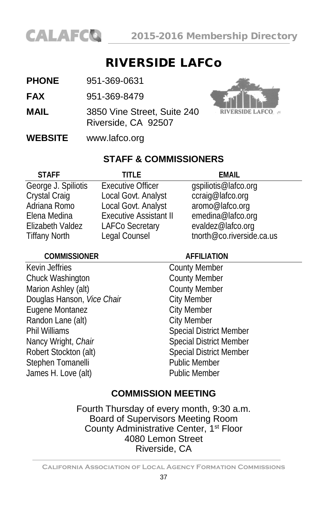

## RIVERSIDE LAFCo

- **PHONE** 951-369-0631
- **FAX** 951-369-8479
- **MAIL** 3850 Vine Street, Suite 240 Riverside, CA 92507



**WEBSITE** [www.lafco.org](http://www.lafco.org/)

#### **STAFF & COMMISSIONERS**

| <b>STAFF</b>         | TITI F                        | <b>EMAIL</b>              |
|----------------------|-------------------------------|---------------------------|
| George J. Spiliotis  | <b>Executive Officer</b>      | gspiliotis@lafco.org      |
| Crystal Craig        | Local Govt. Analyst           | ccraig@lafco.org          |
| Adriana Romo         | Local Govt. Analyst           | aromo@lafco.org           |
| Elena Medina         | <b>Executive Assistant II</b> | emedina@lafco.org         |
| Elizabeth Valdez     | <b>LAFCo Secretary</b>        | evaldez@lafco.org         |
| <b>Tiffany North</b> | Legal Counsel                 | tnorth@co.riverside.ca.us |
|                      |                               |                           |

| <b>COMMISSIONER</b>        | <b>AFFILIATION</b>             |  |
|----------------------------|--------------------------------|--|
| Kevin Jeffries             | <b>County Member</b>           |  |
| Chuck Washington           | <b>County Member</b>           |  |
| Marion Ashley (alt)        | <b>County Member</b>           |  |
| Douglas Hanson, Vice Chair | <b>City Member</b>             |  |
| Eugene Montanez            | <b>City Member</b>             |  |
| Randon Lane (alt)          | <b>City Member</b>             |  |
| Phil Williams              | <b>Special District Member</b> |  |
| Nancy Wright, Chair        | <b>Special District Member</b> |  |
| Robert Stockton (alt)      | <b>Special District Member</b> |  |
| Stephen Tomanelli          | <b>Public Member</b>           |  |
| James H. Love (alt)        | <b>Public Member</b>           |  |
|                            |                                |  |

#### **COMMISSION MEETING**

Fourth Thursday of every month, 9:30 a.m. Board of Supervisors Meeting Room County Administrative Center, 1<sup>st</sup> Floor 4080 Lemon Street Riverside, CA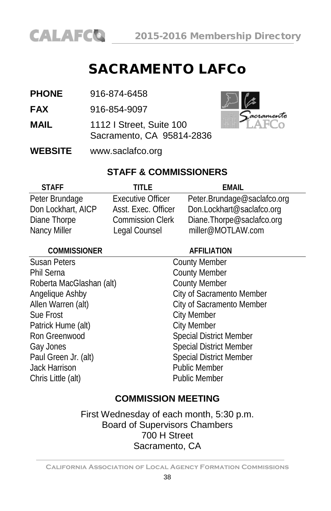

# SACRAMENTO LAFCo

| <b>PHONE</b><br>916-874-6458 |
|------------------------------|
|------------------------------|

**FAX** 916-854-9097

- **MAIL** 1112 I Street, Suite 100 Sacramento, CA 95814-2836
- **WEBSITE** [www.saclafco.org](http://www.saclafco.org/)



#### **STAFF & COMMISSIONERS**

| <b>STAFF</b>       | TITI F                   | FMAIL                       |
|--------------------|--------------------------|-----------------------------|
| Peter Brundage     | <b>Executive Officer</b> | Peter.Brundage@saclafco.org |
| Don Lockhart, AICP | Asst. Exec. Officer      | Don.Lockhart@saclafco.org   |
| Diane Thorpe       | <b>Commission Clerk</b>  | Diane.Thorpe@saclafco.org   |
| Nancy Miller       | Legal Counsel            | miller@MOTLAW.com           |

| <b>COMMISSIONER</b>      | <b>AFFILIATION</b>             |  |
|--------------------------|--------------------------------|--|
| <b>Susan Peters</b>      | <b>County Member</b>           |  |
| <b>Phil Serna</b>        | <b>County Member</b>           |  |
| Roberta MacGlashan (alt) | <b>County Member</b>           |  |
| Angelique Ashby          | City of Sacramento Member      |  |
| Allen Warren (alt)       | City of Sacramento Member      |  |
| Sue Frost                | <b>City Member</b>             |  |
| Patrick Hume (alt)       | <b>City Member</b>             |  |
| Ron Greenwood            | <b>Special District Member</b> |  |
| Gay Jones                | <b>Special District Member</b> |  |
| Paul Green Jr. (alt)     | <b>Special District Member</b> |  |
| Jack Harrison            | <b>Public Member</b>           |  |
| Chris Little (alt)       | <b>Public Member</b>           |  |
|                          |                                |  |

#### **COMMISSION MEETING**

First Wednesday of each month, 5:30 p.m. Board of Supervisors Chambers 700 H Street Sacramento, CA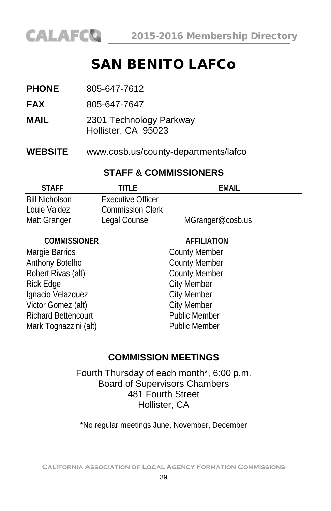

# SAN BENITO LAFCo

| <b>PHONE</b>               | 805-647-7612                                   |                      |  |
|----------------------------|------------------------------------------------|----------------------|--|
| <b>FAX</b>                 | 805-647-7647                                   |                      |  |
| <b>MAIL</b>                | 2301 Technology Parkway<br>Hollister, CA 95023 |                      |  |
| <b>WEBSITE</b>             | www.cosb.us/county-departments/lafco           |                      |  |
|                            | <b>STAFF &amp; COMMISSIONERS</b>               |                      |  |
| <b>STAFF</b>               | TITLE                                          | <b>EMAIL</b>         |  |
| <b>Bill Nicholson</b>      | <b>Executive Officer</b>                       |                      |  |
| Louie Valdez               | <b>Commission Clerk</b>                        |                      |  |
| Matt Granger               | Legal Counsel                                  | MGranger@cosb.us     |  |
| <b>COMMISSIONER</b>        |                                                | <b>AFFILIATION</b>   |  |
| Margie Barrios             |                                                | <b>County Member</b> |  |
| Anthony Botelho            |                                                | <b>County Member</b> |  |
| Robert Rivas (alt)         |                                                | <b>County Member</b> |  |
| Rick Edge                  |                                                | City Member          |  |
| Ignacio Velazquez          |                                                | <b>City Member</b>   |  |
| Victor Gomez (alt)         |                                                | City Member          |  |
| <b>Richard Bettencourt</b> |                                                | <b>Public Member</b> |  |
| Mark Tognazzini (alt)      |                                                | <b>Public Member</b> |  |
|                            |                                                |                      |  |

#### **COMMISSION MEETINGS**

Fourth Thursday of each month\*, 6:00 p.m. Board of Supervisors Chambers 481 Fourth Street Hollister, CA

\*No regular meetings June, November, December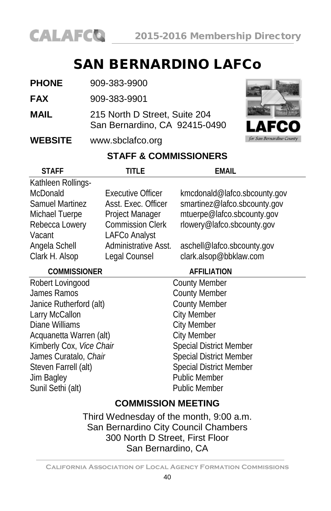

# SAN BERNARDINO LAFCo

| <b>PHONE</b> | 909-383-9900 |
|--------------|--------------|
|              |              |

- **FAX** 909-383-9901
- **MAIL** 215 North D Street, Suite 204 San Bernardino, CA 92415-0490

#### **WEBSITE** [www.sbclafco.org](http://www.sbclafco.org/)



#### **STAFF & COMMISSIONERS**

| <b>STAFF</b>                              | TITI F                   | FMAIL                          |  |  |
|-------------------------------------------|--------------------------|--------------------------------|--|--|
| Kathleen Rollings-                        |                          |                                |  |  |
| McDonald                                  | <b>Executive Officer</b> | kmcdonald@lafco.sbcounty.gov   |  |  |
| <b>Samuel Martinez</b>                    | Asst. Exec. Officer      | smartinez@lafco.sbcounty.gov   |  |  |
| Michael Tuerpe                            | Project Manager          | mtuerpe@lafco.sbcounty.gov     |  |  |
| Rebecca Lowery                            | <b>Commission Clerk</b>  | rlowery@lafco.sbcounty.gov     |  |  |
| Vacant                                    | LAFCo Analyst            |                                |  |  |
| Angela Schell                             | Administrative Asst.     | aschell@lafco.sbcounty.gov     |  |  |
| Clark H. Alsop                            | Legal Counsel            | clark.alsop@bbklaw.com         |  |  |
| <b>COMMISSIONER</b><br><b>AFFILIATION</b> |                          |                                |  |  |
| Robert Lovingood                          |                          | <b>County Member</b>           |  |  |
| James Ramos                               |                          | <b>County Member</b>           |  |  |
| Janice Rutherford (alt)                   |                          | <b>County Member</b>           |  |  |
| Larry McCallon                            |                          | <b>City Member</b>             |  |  |
| Diane Williams                            |                          | <b>City Member</b>             |  |  |
| Acquanetta Warren (alt)                   |                          | <b>City Member</b>             |  |  |
| Kimberly Cox, Vice Chair                  |                          | <b>Special District Member</b> |  |  |
| James Curatalo, Chair                     |                          | <b>Special District Member</b> |  |  |
| Steven Farrell (alt)                      |                          | <b>Special District Member</b> |  |  |
| Jim Bagley                                |                          | <b>Public Member</b>           |  |  |
| Sunil Sethi (alt)                         |                          | <b>Public Member</b>           |  |  |
| <b>COMMISSION MEETING</b>                 |                          |                                |  |  |

Third Wednesday of the month, 9:00 a.m. San Bernardino City Council Chambers 300 North D Street, First Floor San Bernardino, CA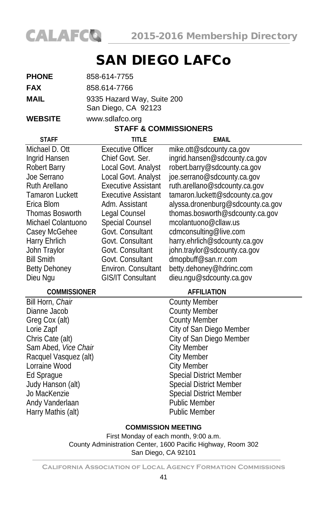

# SAN DIEGO LAFCo

| <b>PHONE</b> | 858-614-7755                                      |
|--------------|---------------------------------------------------|
| <b>FAX</b>   | 858.614-7766                                      |
| <b>MAIL</b>  | 9335 Hazard Way, Suite 200<br>San Diego, CA 92123 |

**WEBSITE** [www.sdlafco.org](http://www.sdlafco.org/)

#### **STAFF & COMMISSIONERS**

| <b>STAFF</b>           | <b>TITLE</b>               | <b>EMAIL</b>                      |
|------------------------|----------------------------|-----------------------------------|
| Michael D. Ott         | <b>Executive Officer</b>   | mike.ott@sdcounty.ca.gov          |
| Ingrid Hansen          | Chief Govt. Ser.           | ingrid.hansen@sdcounty.ca.gov     |
| Robert Barry           | Local Govt. Analyst        | robert.barry@sdcounty.ca.gov      |
| Joe Serrano            | Local Govt. Analyst        | joe.serrano@sdcounty.ca.gov       |
| <b>Ruth Arellano</b>   | <b>Executive Assistant</b> | ruth.arellano@sdcounty.ca.gov     |
| <b>Tamaron Luckett</b> | <b>Executive Assistant</b> | tamaron.luckett@sdcounty.ca.gov   |
| Erica Blom             | Adm. Assistant             | alyssa.dronenburg@sdcounty.ca.gov |
| <b>Thomas Bosworth</b> | Legal Counsel              | thomas.bosworth@sdcounty.ca.gov   |
| Michael Colantuono     | Special Counsel            | mcolantuono@cllaw.us              |
| Casey McGehee          | Govt. Consultant           | cdmconsulting@live.com            |
| Harry Ehrlich          | Govt. Consultant           | harry.ehrlich@sdcounty.ca.gov     |
| John Traylor           | Govt. Consultant           | john.traylor@sdcounty.ca.gov      |
| <b>Bill Smith</b>      | Govt. Consultant           | dmopbuff@san.rr.com               |
| <b>Betty Dehoney</b>   | Environ. Consultant        | betty.dehoney@hdrinc.com          |
| Dieu Ngu               | <b>GIS/IT Consultant</b>   | dieu.ngu@sdcounty.ca.gov          |
| <b>COMMISSIONER</b>    |                            | <b>AFFILIATION</b>                |
| Bill Horn, Chair       |                            | <b>County Member</b>              |
| Dianne Jacob           |                            | <b>County Member</b>              |
| Greg Cox (alt)         |                            | <b>County Member</b>              |
| Lorie Zapf             |                            | City of San Diego Member          |
| Chris Cate (alt)       |                            | City of San Diego Member          |
| Sam Abed, Vice Chair   |                            | <b>City Member</b>                |
| Racquel Vasquez (alt)  |                            | <b>City Member</b>                |
| Lorraine Wood          |                            | <b>City Member</b>                |
| Ed Sprague             |                            | Special District Member           |
| Judy Hanson (alt)      |                            | Special District Member           |
| Jo MacKenzie           |                            | <b>Special District Member</b>    |
| Andy Vanderlaan        |                            | <b>Public Member</b>              |
| Harry Mathis (alt)     |                            | <b>Public Member</b>              |

#### **COMMISSION MEETING**

First Monday of each month, 9:00 a.m. County Administration Center, 1600 Pacific Highway, Room 302 San Diego, CA 92101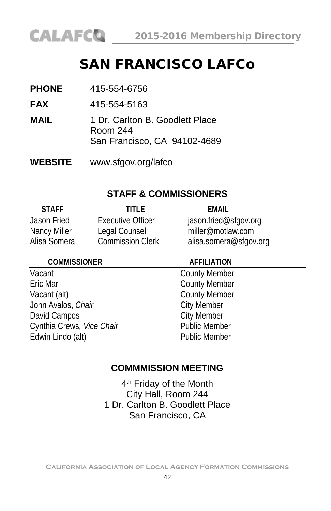

# SAN FRANCISCO LAFCo

- **FAX** 415-554-5163
- **MAIL** 1 Dr. Carlton B. Goodlett Place Room 244 San Francisco, CA 94102-4689
- **WEBSITE** [www.sfgov.org/lafco](http://www.sfgov.org/bos/lafco)

#### **STAFF & COMMISSIONERS**

| <b>STAFF</b> | TITI F.                 | FMAIL                  |
|--------------|-------------------------|------------------------|
| Jason Fried  | Executive Officer       | jason fried@sfgov.org  |
| Nancy Miller | Legal Counsel           | miller@motlaw.com      |
| Alisa Somera | <b>Commission Clerk</b> | alisa.somera@sfgov.org |

#### **COMMISSIONER AFFILIATION**

| Vacant                    | <b>County Member</b> |
|---------------------------|----------------------|
| Eric Mar                  | <b>County Member</b> |
| Vacant (alt)              | <b>County Member</b> |
| John Avalos, Chair        | <b>City Member</b>   |
| David Campos              | <b>City Member</b>   |
| Cynthia Crews, Vice Chair | <b>Public Member</b> |
| Edwin Lindo (alt)         | <b>Public Member</b> |
|                           |                      |

#### **COMMMISSION MEETING**

4<sup>th</sup> Friday of the Month City Hall, Room 244 1 Dr. Carlton B. Goodlett Place San Francisco, CA

**California Association of Local Agency Formation Commissions**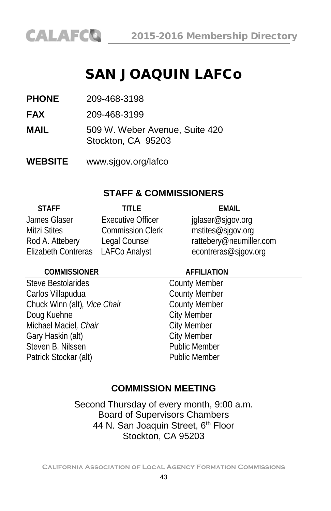# SAN JOAQUIN LAFCo

**PHONE** 209-468-3198

**FAX** 209-468-3199

**MAIL** 509 W. Weber Avenue, Suite 420 Stockton, CA 95203

**WEBSITE** [www.sjgov.org/lafco](http://www.sjgov.org/lafco)

#### **STAFF & COMMISSIONERS**

| <b>STAFF</b>        | TITI F                   | FMAIL                   |
|---------------------|--------------------------|-------------------------|
| James Glaser        | <b>Executive Officer</b> | jglaser@sjgov.org       |
| Mitzi Stites        | <b>Commission Clerk</b>  | mstites@sjgov.org       |
| Rod A. Attebery     | Legal Counsel            | rattebery@neumiller.com |
| Elizabeth Contreras | <b>LAFCo Analyst</b>     | econtreras@sjgov.org    |

#### **COMMISSIONER AFFILIATION**

Steve Bestolarides County Member Carlos Villapudua **County Member** Chuck Winn (alt)*, Vice Chair* County Member Doug Kuehne City Member Michael Maciel, Chair **Chair** City Member Gary Haskin (alt) City Member Steven B. Nilssen **Public Member** Patrick Stockar (alt) Public Member

### **COMMISSION MEETING**

Second Thursday of every month, 9:00 a.m. Board of Supervisors Chambers 44 N. San Joaquin Street, 6<sup>th</sup> Floor Stockton, CA 95203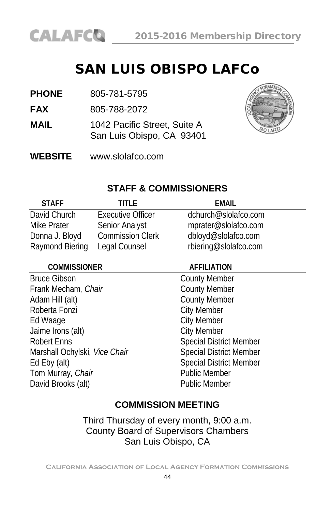# SAN LUIS OBISPO LAFCo

**PHONE** 805-781-5795

**FAX** 805-788-2072

- **MAIL** 1042 Pacific Street, Suite A San Luis Obispo, CA 93401
- **WEBSITE** [www.slolafco.com](http://www.slolafco.com/)



#### **STAFF & COMMISSIONERS**

| <b>STAFF</b>    | TITI F                   | EMAIL                 |
|-----------------|--------------------------|-----------------------|
| David Church    | <b>Executive Officer</b> | dchurch@slolafco.com  |
| Mike Prater     | Senior Analyst           | mprater@slolafco.com  |
| Donna J. Bloyd  | <b>Commission Clerk</b>  | dbloyd@slolafco.com   |
| Raymond Biering | Legal Counsel            | rbiering@slolafco.com |

#### **COMMISSIONER AFFILIATION**

Bruce Gibson<br>
Frank Mecham, *Chair*<br>
Frank Mecham, *Chair*<br>
County Member Frank Mecham, Chair Adam Hill (alt) County Member Roberta Fonzi **City Member** Ed Waage City Member<br>
Jaime Irons (alt) City Member Jaime Irons (alt) Robert Enns Marshall Ochylski, Vice Chair Special District Member Ed Eby (alt) Special District Member Tom Murray, *Chair* Public Member David Brooks (alt) Public Member

#### **COMMISSION MEETING**

Third Thursday of every month, 9:00 a.m. County Board of Supervisors Chambers San Luis Obispo, CA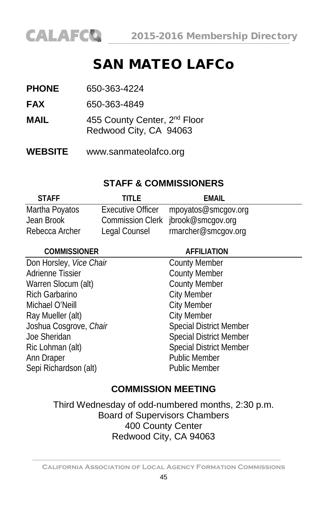

# SAN MATEO LAFCo

| <b>PHONE</b> | 650-363-4224                                                       |
|--------------|--------------------------------------------------------------------|
| <b>FAX</b>   | 650-363-4849                                                       |
| MAIL         | 455 County Center, 2 <sup>nd</sup> Floor<br>Redwood City, CA 94063 |

**WEBSITE** www.sanmateolafco.org

#### **STAFF & COMMISSIONERS**

| <b>STAFF</b>   | TITI F        | FMAIL                                 |
|----------------|---------------|---------------------------------------|
| Martha Poyatos |               | Executive Officer mpoyatos@smcgov.org |
| Jean Brook     |               | Commission Clerk jbrook@smcgov.org    |
| Rebecca Archer | Legal Counsel | rmarcher@smcgov.org                   |

| <b>COMMISSIONER</b>     | <b>AFFILIATION</b>             |  |
|-------------------------|--------------------------------|--|
| Don Horsley, Vice Chair | <b>County Member</b>           |  |
| <b>Adrienne Tissier</b> | <b>County Member</b>           |  |
| Warren Slocum (alt)     | <b>County Member</b>           |  |
| <b>Rich Garbarino</b>   | <b>City Member</b>             |  |
| Michael O'Neill         | <b>City Member</b>             |  |
| Ray Mueller (alt)       | <b>City Member</b>             |  |
| Joshua Cosgrove, Chair  | <b>Special District Member</b> |  |
| Joe Sheridan            | <b>Special District Member</b> |  |
| Ric Lohman (alt)        | <b>Special District Member</b> |  |
| Ann Draper              | <b>Public Member</b>           |  |
| Sepi Richardson (alt)   | <b>Public Member</b>           |  |
|                         |                                |  |

### **COMMISSION MEETING**

Third Wednesday of odd-numbered months, 2:30 p.m. Board of Supervisors Chambers 400 County Center Redwood City, CA 94063

**California Association of Local Agency Formation Commissions**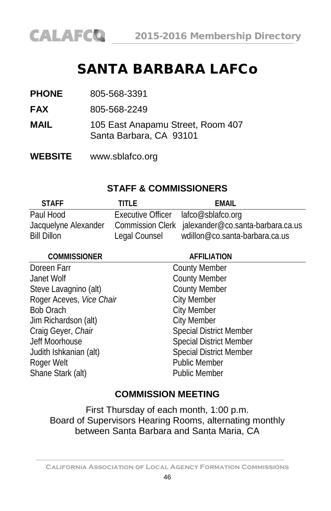

# SANTA BARBARA LAFCo

**PHONE** 805-568-3391

**FAX** 805-568-2249

- **MAIL** 105 East Anapamu Street, Room 407 Santa Barbara, CA 93101
- **WEBSITE** [www.sblafco.org](http://www.sblafco.org/)

#### **STAFF & COMMISSIONERS**

| <b>STAFF</b>         | TITI F                              | FMAIL                                              |
|----------------------|-------------------------------------|----------------------------------------------------|
| Paul Hood            | Executive Officer lafco@sblafco.org |                                                    |
| Jacquelyne Alexander |                                     | Commission Clerk jalexander@co.santa-barbara.ca.us |
| <b>Bill Dillon</b>   | Legal Counsel                       | wdillon@co.santa-barbara.ca.us                     |

| <b>COMMISSIONER</b>      | <b>AFFILIATION</b>             |  |
|--------------------------|--------------------------------|--|
| Doreen Farr              | <b>County Member</b>           |  |
| Janet Wolf               | <b>County Member</b>           |  |
| Steve Lavagnino (alt)    | <b>County Member</b>           |  |
| Roger Aceves, Vice Chair | <b>City Member</b>             |  |
| <b>Bob Orach</b>         | <b>City Member</b>             |  |
| Jim Richardson (alt)     | <b>City Member</b>             |  |
| Craig Geyer, Chair       | <b>Special District Member</b> |  |
| Jeff Moorhouse           | <b>Special District Member</b> |  |
| Judith Ishkanian (alt)   | <b>Special District Member</b> |  |
| Roger Welt               | <b>Public Member</b>           |  |
| Shane Stark (alt)        | <b>Public Member</b>           |  |
|                          |                                |  |

#### **COMMISSION MEETING**

First Thursday of each month, 1:00 p.m. Board of Supervisors Hearing Rooms, alternating monthly between Santa Barbara and Santa Maria, CA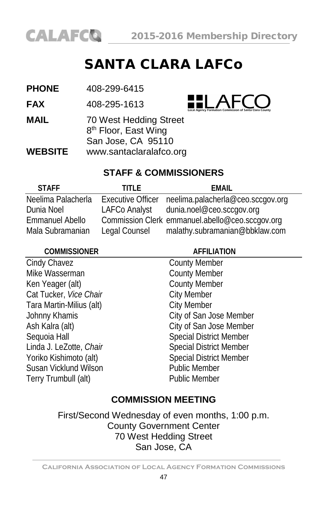

# SANTA CLARA LAFCo

| <b>PHONE</b><br>408-299-6415 |  |
|------------------------------|--|
|------------------------------|--|

**FAX** 408-295-1613



**MAIL** 70 West Hedding Street 8<sup>th</sup> Floor, East Wing San Jose, CA 95110 **WEBSITE** [www.santaclaralafco.org](http://www.santaclara.lafco.ca.gov/)

### **STAFF & COMMISSIONERS**

| TITI F.       | FMAIL                                               |
|---------------|-----------------------------------------------------|
|               | Executive Officer neelima.palacherla@ceo.sccgov.org |
| LAFCo Analyst | dunia.noel@ceo.sccqov.org                           |
|               | Commission Clerk emmanuel.abello@ceo.sccqov.org     |
| Legal Counsel | malathy.subramanian@bbklaw.com                      |
|               |                                                     |

| <b>COMMISSIONER</b>      | <b>AFFILIATION</b>             |  |
|--------------------------|--------------------------------|--|
| Cindy Chavez             | <b>County Member</b>           |  |
| Mike Wasserman           | <b>County Member</b>           |  |
| Ken Yeager (alt)         | <b>County Member</b>           |  |
| Cat Tucker, Vice Chair   | <b>City Member</b>             |  |
| Tara Martin-Milius (alt) | <b>City Member</b>             |  |
| Johnny Khamis            | City of San Jose Member        |  |
| Ash Kalra (alt)          | City of San Jose Member        |  |
| Sequoia Hall             | <b>Special District Member</b> |  |
| Linda J. LeZotte, Chair  | <b>Special District Member</b> |  |
| Yoriko Kishimoto (alt)   | <b>Special District Member</b> |  |
| Susan Vicklund Wilson    | <b>Public Member</b>           |  |
| Terry Trumbull (alt)     | Public Member                  |  |
|                          |                                |  |

### **COMMISSION MEETING**

First/Second Wednesday of even months, 1:00 p.m. County Government Center 70 West Hedding Street San Jose, CA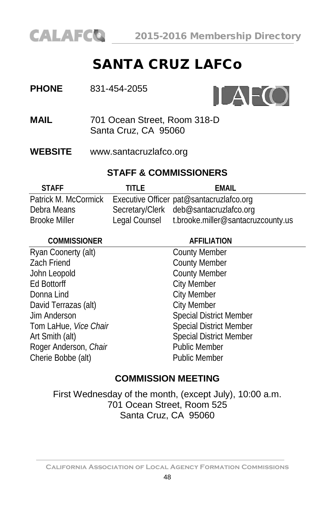

# SANTA CRUZ LAFCo

| <b>PHONE</b> | 831-454-2055 |
|--------------|--------------|
|              |              |



**MAIL** 701 Ocean Street, Room 318-D Santa Cruz, CA 95060

**WEBSITE** [www.santacruzlafco.org](http://www.santacruzlafco.org/)

### **STAFF & COMMISSIONERS**

| <b>STAFF</b>         | TITI F        | FMAIL                                    |
|----------------------|---------------|------------------------------------------|
| Patrick M. McCormick |               | Executive Officer pat@santacruzlafco.org |
| Debra Means          |               | Secretary/Clerk deb@santacruzlafco.org   |
| <b>Brooke Miller</b> | Legal Counsel | t.brooke.miller@santacruzcounty.us       |

| <b>AFFILIATION</b>             |
|--------------------------------|
| <b>County Member</b>           |
| <b>County Member</b>           |
| <b>County Member</b>           |
| <b>City Member</b>             |
| <b>City Member</b>             |
| <b>City Member</b>             |
| <b>Special District Member</b> |
| <b>Special District Member</b> |
| <b>Special District Member</b> |
| <b>Public Member</b>           |
| <b>Public Member</b>           |
|                                |

#### **COMMISSION MEETING**

First Wednesday of the month, (except July), 10:00 a.m. 701 Ocean Street, Room 525 Santa Cruz, CA 95060

**California Association of Local Agency Formation Commissions**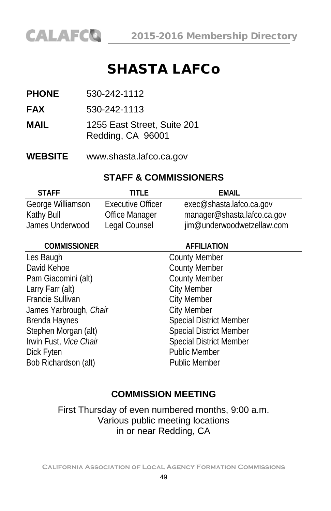# SHASTA LAFCo

- **PHONE** 530-242-1112
- **FAX** 530-242-1113
- **MAIL** 1255 East Street, Suite 201 Redding, CA 96001
- **WEBSITE** [www.shasta.lafco.ca.gov](http://www.shasta.lafco.ca.gov/)

#### **STAFF & COMMISSIONERS**

| <b>STAFF</b>      | TITI F                   | FMAIL                       |
|-------------------|--------------------------|-----------------------------|
| George Williamson | <b>Executive Officer</b> | exec@shasta.lafco.ca.gov    |
| Kathy Bull        | Office Manager           | manager@shasta.lafco.ca.gov |
| James Underwood   | Legal Counsel            | jim@underwoodwetzellaw.com  |

| <b>COMMISSIONER</b>     | <b>AFFILIATION</b>             |  |
|-------------------------|--------------------------------|--|
| Les Baugh               | <b>County Member</b>           |  |
| David Kehoe             | <b>County Member</b>           |  |
| Pam Giacomini (alt)     | <b>County Member</b>           |  |
| Larry Farr (alt)        | <b>City Member</b>             |  |
| <b>Francie Sullivan</b> | <b>City Member</b>             |  |
| James Yarbrough, Chair  | <b>City Member</b>             |  |
| Brenda Haynes           | <b>Special District Member</b> |  |
| Stephen Morgan (alt)    | <b>Special District Member</b> |  |
| Irwin Fust, Vice Chair  | <b>Special District Member</b> |  |
| Dick Fyten              | <b>Public Member</b>           |  |
| Bob Richardson (alt)    | <b>Public Member</b>           |  |
|                         |                                |  |

### **COMMISSION MEETING**

First Thursday of even numbered months, 9:00 a.m. Various public meeting locations in or near Redding, CA

**California Association of Local Agency Formation Commissions**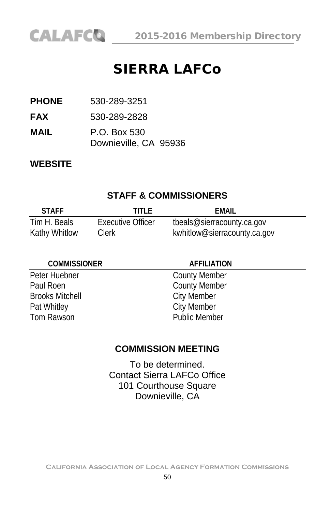

CALAFCO 2015-2016 Membership Directory

# SIERRA LAFCo

**PHONE** 530-289-3251

**FAX** 530-289-2828

**MAIL** P.O. Box 530 Downieville, CA 95936

#### **WEBSITE**

#### **STAFF & COMMISSIONERS**

| <b>STAFF</b>         | titi f            | FMAIL                        |
|----------------------|-------------------|------------------------------|
| Tim H. Beals         | Executive Officer | tbeals@sierracounty.ca.gov   |
| <b>Kathy Whitlow</b> | Clerk             | kwhitlow@sierracounty.ca.gov |

#### **COMMISSIONER AFFILIATION**

Paul Roen County Member<br>Brooks Mitchell City Member **Brooks Mitchell** Pat Whitley City Member Tom Rawson **Public Member** 

Peter Huebner County Member

#### **COMMISSION MEETING**

To be determined. Contact Sierra LAFCo Office 101 Courthouse Square Downieville, CA

**California Association of Local Agency Formation Commissions**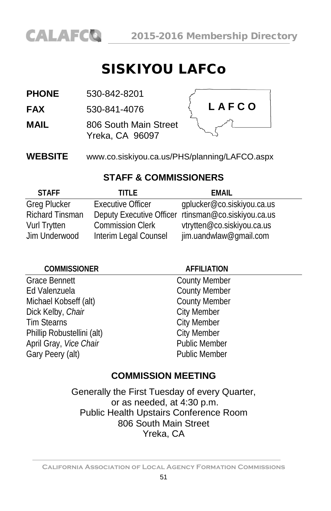

# SISKIYOU LAFCo

**PHONE** 530-842-8201

**FAX** 530-841-4076

**MAIL** 806 South Main Street Yreka, CA 96097



**WEBSITE** [www.co.siskiyou.ca.us/PHS/planning/LAFCO.aspx](http://www.co.siskiyou.ca.us/PHS/planning/LAFCO.aspx)

#### **STAFF & COMMISSIONERS**

| <b>STAFF</b>           | TITI F                   | FMAIL                                               |  |
|------------------------|--------------------------|-----------------------------------------------------|--|
| <b>Greg Plucker</b>    | <b>Executive Officer</b> | gplucker@co.siskiyou.ca.us                          |  |
| <b>Richard Tinsman</b> |                          | Deputy Executive Officer rtinsman@co.siskiyou.ca.us |  |
| Vurl Trytten           | <b>Commission Clerk</b>  | vtrytten@co.siskiyou.ca.us                          |  |
| Jim Underwood          | Interim Legal Counsel    | jim.uandwlaw@qmail.com                              |  |

#### **COMMISSIONER AFFILIATION**

Grace Bennett County Member Ed Valenzuela<br>
Michael Kobseff (alt) County Member<br>
County Member Michael Kobseff (alt) County Meml<br>Dick Kelby, *Chair* Charles City Member Dick Kelby, Chair Tim Stearns<br>
Phillip Robustellini (alt)<br>
City Member Phillip Robustellini (alt)<br>April Gray *Vice Chair* Charles Bublic Member April Gray, Vice Chair Gary Peery (alt) **Public Member** 

### **COMMISSION MEETING**

Generally the First Tuesday of every Quarter, or as needed, at 4:30 p.m. Public Health Upstairs Conference Room 806 South Main Street Yreka, CA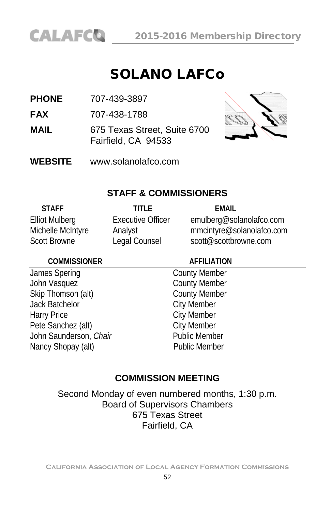

# SOLANO LAFCo

**PHONE** 707-439-3897

**FAX** 707-438-1788

**MAIL** 675 Texas Street, Suite 6700 Fairfield, CA 94533



**WEBSITE** [www.solanolafco.com](http://www.solanolafco.com/)

#### **STAFF & COMMISSIONERS**

| <b>STAFF</b>          | TITI F                   | FMAIL                     |
|-----------------------|--------------------------|---------------------------|
| <b>Elliot Mulberg</b> | <b>Executive Officer</b> | emulberg@solanolafco.com  |
| Michelle McIntyre     | Analyst                  | mmcintyre@solanolafco.com |
| <b>Scott Browne</b>   | Legal Counsel            | scott@scottbrowne.com     |

#### **COMMISSIONER AFFILIATION**

James Spering **County Member** John Vasquez<br>
Skip Thomson (alt) Skip Thomson (alt) Skip Thomson (alt) Jack Batchelor City Member Harry Price<br>
Pete Sanchez (alt) City Member<br>
City Member Pete Sanchez (alt) City Member<br>
John Saunderson, Chair<br>
Public Member John Saunderson, Chair Nancy Shopay (alt) Public Member

#### **COMMISSION MEETING**

Second Monday of even numbered months, 1:30 p.m. Board of Supervisors Chambers 675 Texas Street Fairfield, CA

**California Association of Local Agency Formation Commissions**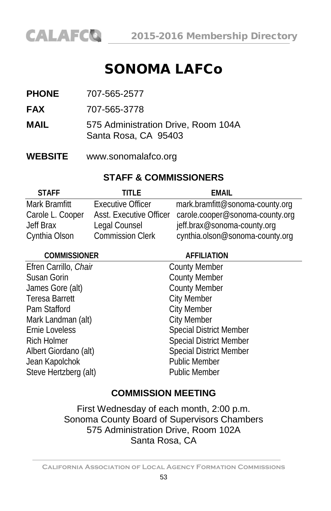# SONOMA LAFCo

- **PHONE** 707-565-2577
- **FAX** 707-565-3778
- **MAIL** 575 Administration Drive, Room 104A Santa Rosa, CA 95403
- **WEBSITE** [www.sonomalafco.org](http://www.sonomalafco.org/)

#### **STAFF & COMMISSIONERS**

| <b>STAFF</b>     | TITI F                   | FMAIL                           |
|------------------|--------------------------|---------------------------------|
| Mark Bramfitt    | <b>Executive Officer</b> | mark.bramfitt@sonoma-county.org |
| Carole L. Cooper | Asst. Executive Officer  | carole.cooper@sonoma-county.org |
| Jeff Brax        | Legal Counsel            | jeff.brax@sonoma-county.org     |
| Cynthia Olson    | <b>Commission Clerk</b>  | cynthia.olson@sonoma-county.org |

| <b>COMMISSIONER</b>   | <b>AFFILIATION</b>             |  |
|-----------------------|--------------------------------|--|
| Efren Carrillo, Chair | <b>County Member</b>           |  |
| Susan Gorin           | <b>County Member</b>           |  |
| James Gore (alt)      | <b>County Member</b>           |  |
| <b>Teresa Barrett</b> | <b>City Member</b>             |  |
| Pam Stafford          | <b>City Member</b>             |  |
| Mark Landman (alt)    | <b>City Member</b>             |  |
| Ernie Loveless        | <b>Special District Member</b> |  |
| <b>Rich Holmer</b>    | <b>Special District Member</b> |  |
| Albert Giordano (alt) | <b>Special District Member</b> |  |
| Jean Kapolchok        | <b>Public Member</b>           |  |
| Steve Hertzberg (alt) | <b>Public Member</b>           |  |
|                       |                                |  |

### **COMMISSION MEETING**

First Wednesday of each month, 2:00 p.m. Sonoma County Board of Supervisors Chambers 575 Administration Drive, Room 102A Santa Rosa, CA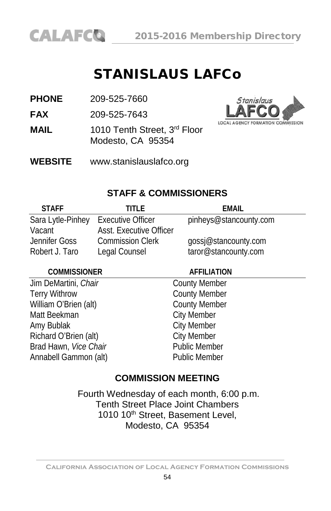

# STANISLAUS LAFCo

**PHONE** 209-525-7660

**FAX** 209-525-7643

**MAIL** 1010 Tenth Street, 3<sup>rd</sup> Floor Modesto, CA 95354

**WEBSITE** [www.stanislauslafco.org](http://www.stanislauslafco.org/)



#### **STAFF & COMMISSIONERS**

| <b>STAFF</b>      | TITI F                   | FMAIL                  |
|-------------------|--------------------------|------------------------|
| Sara Lytle-Pinhey | <b>Executive Officer</b> | pinheys@stancounty.com |
| Vacant            | Asst. Executive Officer  |                        |
| Jennifer Goss     | <b>Commission Clerk</b>  | gossj@stancounty.com   |
| Robert J. Taro    | Legal Counsel            | taror@stancounty.com   |

#### **COMMISSIONER AFFILIATION**

Jim DeMartini, *Chair* County Member Terry Withrow County Member<br>
William O'Brien (alt) County Member William O'Brien (alt) Matt Beekman City Member Amy Bublak City Member<br>
Richard O'Brien (alt) City Member Richard O'Brien (alt) City Member<br>Rrad Hawn *Vice Chair* Public Member Brad Hawn, *Vice Chair* Annabell Gammon (alt) **Public Member** 

#### **COMMISSION MEETING**

Fourth Wednesday of each month, 6:00 p.m. Tenth Street Place Joint Chambers 1010 10<sup>th</sup> Street, Basement Level, Modesto, CA 95354

**California Association of Local Agency Formation Commissions**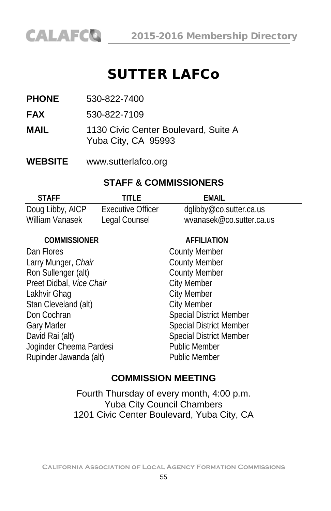# SUTTER LAFCo

**PHONE** 530-822-7400

**FAX** 530-822-7109

**MAIL** 1130 Civic Center Boulevard, Suite A Yuba City, CA 95993

**WEBSITE** [www.sutterlafco.org](http://www.sutterlafco.org/)

#### **STAFF & COMMISSIONERS**

| <b>STAFF</b>     | TITI F            | FMAIL                    |
|------------------|-------------------|--------------------------|
| Doug Libby, AICP | Executive Officer | dglibby@co.sutter.ca.us  |
| William Vanasek  | Legal Counsel     | wyanasek@co.sutter.ca.us |

| <b>COMMISSIONER</b>      | <b>AFFILIATION</b>             |  |
|--------------------------|--------------------------------|--|
| Dan Flores               | <b>County Member</b>           |  |
| Larry Munger, Chair      | <b>County Member</b>           |  |
| Ron Sullenger (alt)      | <b>County Member</b>           |  |
| Preet Didbal, Vice Chair | <b>City Member</b>             |  |
| Lakhvir Ghag             | <b>City Member</b>             |  |
| Stan Cleveland (alt)     | <b>City Member</b>             |  |
| Don Cochran              | <b>Special District Member</b> |  |
| <b>Gary Marler</b>       | <b>Special District Member</b> |  |
| David Rai (alt)          | <b>Special District Member</b> |  |
| Joginder Cheema Pardesi  | <b>Public Member</b>           |  |
| Rupinder Jawanda (alt)   | <b>Public Member</b>           |  |

#### **COMMISSION MEETING**

Fourth Thursday of every month, 4:00 p.m. Yuba City Council Chambers 1201 Civic Center Boulevard, Yuba City, CA

**California Association of Local Agency Formation Commissions**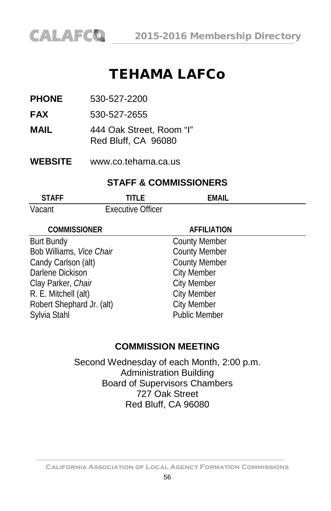

# TEHAMA LAFCo

**PHONE** 530-527-2200

**FAX** 530-527-2655

**MAIL** 444 Oak Street, Room "I" Red Bluff, CA 96080

**WEBSITE** [www.co.tehama.ca.us](http://www.co.tehama.ca.us/)

#### **STAFF & COMMISSIONERS**

| <b>STAFF</b> | ם ודוד                   | EMAIL |
|--------------|--------------------------|-------|
| Vacant       | <b>Executive Officer</b> |       |

| <b>COMMISSIONER</b>       | <b>AFFILIATION</b>   |  |
|---------------------------|----------------------|--|
| <b>Burt Bundy</b>         | <b>County Member</b> |  |
| Bob Williams, Vice Chair  | <b>County Member</b> |  |
| Candy Carlson (alt)       | <b>County Member</b> |  |
| Darlene Dickison          | <b>City Member</b>   |  |
| Clay Parker, Chair        | <b>City Member</b>   |  |
| R. E. Mitchell (alt)      | <b>City Member</b>   |  |
| Robert Shephard Jr. (alt) | <b>City Member</b>   |  |
| Sylvia Stahl              | <b>Public Member</b> |  |
|                           |                      |  |

#### **COMMISSION MEETING**

Second Wednesday of each Month, 2:00 p.m. Administration Building Board of Supervisors Chambers 727 Oak Street Red Bluff, CA 96080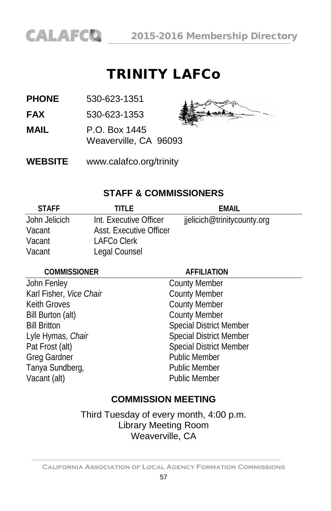

# TRINITY LAFCo

**PHONE** 530-623-1351

**FAX** 530-623-1353

**MAIL** P.O. Box 1445

Weaverville, CA 96093



**WEBSITE** [www.calafco.org/trinity](http://www.calafco.org/trinity)

#### **STAFF & COMMISSIONERS**

| <b>STAFF</b>  | TITI F.                        | FMAIL                       |
|---------------|--------------------------------|-----------------------------|
| John Jelicich | Int. Executive Officer         | jjelicich@trinitycounty.org |
| Vacant        | <b>Asst. Executive Officer</b> |                             |
| Vacant        | LAFCo Clerk                    |                             |
| Vacant        | Legal Counsel                  |                             |

#### **COMMISSIONER AFFILIATION**

John Fenley County Member Karl Fisher, *Vice Chair* County Member Keith Groves **County Member** Bill Burton (alt) County Member Greg Gardner **Public Member** Tanya Sundberg, **Public Member** Vacant (alt) **Public Member** 

Bill Britton Special District Member Lyle Hymas, *Chair* Special District Member Pat Frost (alt) Special District Member

### **COMMISSION MEETING**

Third Tuesday of every month, 4:00 p.m. Library Meeting Room Weaverville, CA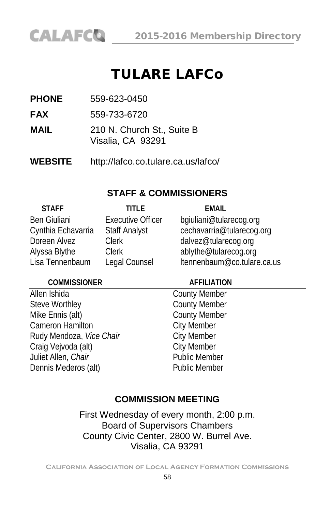# TULARE LAFCo

**PHONE** 559-623-0450

**CALAFCO** 

**FAX** 559-733-6720

- **MAIL** 210 N. Church St., Suite B Visalia, CA 93291
- **WEBSITE** <http://lafco.co.tulare.ca.us/lafco/>

#### **STAFF & COMMISSIONERS**

| <b>STAFF</b>        | TITI F                   | <b>EMAIL</b>                |
|---------------------|--------------------------|-----------------------------|
| <b>Ben Giuliani</b> | <b>Executive Officer</b> | bgiuliani@tularecog.org     |
| Cynthia Echavarria  | <b>Staff Analyst</b>     | cechavarria@tularecog.org   |
| Doreen Alvez        | <b>Clerk</b>             | dalvez@tularecog.org        |
| Alyssa Blythe       | <b>Clerk</b>             | ablythe@tularecog.org       |
| Lisa Tennenbaum     | Legal Counsel            | Itennenbaum@co.tulare.ca.us |

#### **COMMISSIONER AFFILIATION**

Allen Ishida County Member Steve Worthley **County Member** Mike Ennis (alt) County Member<br>
Cameron Hamilton City Member Cameron Hamilton Cameron Hamilton<br>
Rudy Mendoza, *Vice Chair* City Member Rudy Mendoza, Vice Chair Craig Vejvoda (alt) City Member<br>
Luliet Allen Chair<br>
Public Member Juliet Allen, Chair Dennis Mederos (alt) Public Member

#### **COMMISSION MEETING**

First Wednesday of every month, 2:00 p.m. Board of Supervisors Chambers County Civic Center, 2800 W. Burrel Ave. Visalia, CA 93291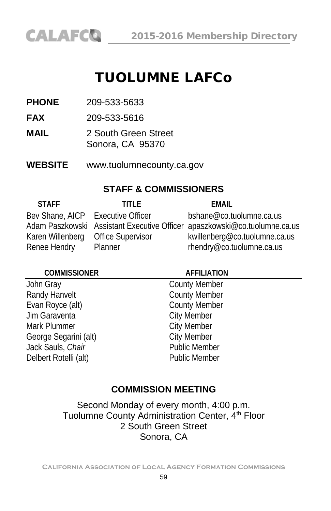# TUOLUMNE LAFCo

**PHONE** 209-533-5633

**FAX** 209-533-5616

- **MAIL** 2 South Green Street Sonora, CA 95370
- **WEBSITE** www.tuolumnecounty.ca.gov

#### **STAFF & COMMISSIONERS**

| <b>STAFF</b>                      | TITI F                   | FMAIL                                                                     |
|-----------------------------------|--------------------------|---------------------------------------------------------------------------|
| Bev Shane, AICP Executive Officer |                          | bshane@co.tuolumne.ca.us                                                  |
|                                   |                          | Adam Paszkowski Assistant Executive Officer apaszkowski@co.tuolumne.ca.us |
| Karen Willenberg                  | <b>Office Supervisor</b> | kwillenberg@co.tuolumne.ca.us                                             |
| Renee Hendry                      | Planner                  | rhendry@co.tuolumne.ca.us                                                 |

#### **COMMISSIONER AFFILIATION**

John Gray **County Member** Randy Hanvelt **County Member** Evan Royce (alt) County Member Jim Garaventa City Member Mark Plummer **City Member** George Segarini (alt) City Member Jack Sauls, *Chair* Public Member Delbert Rotelli (alt) **Public Member** 

#### **COMMISSION MEETING**

Second Monday of every month, 4:00 p.m. Tuolumne County Administration Center, 4<sup>th</sup> Floor 2 South Green Street Sonora, CA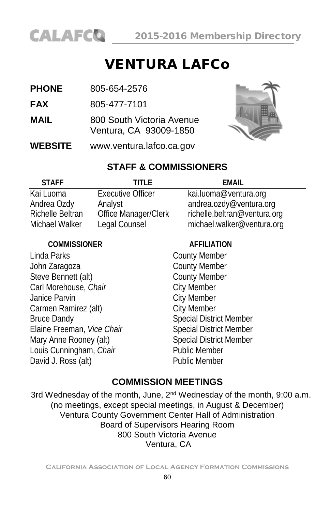

# VENTURA LAFCo

- **PHONE** 805-654-2576
- **FAX** 805-477-7101
- **MAIL** 800 South Victoria Avenue Ventura, CA 93009-1850
- **WEBSITE** [www.ventura.lafco.ca.gov](http://www.ventura.lafco.ca.gov/)



#### **STAFF & COMMISSIONERS**

| <b>STAFF</b>            | TITI F                   | EMAIL                        |
|-------------------------|--------------------------|------------------------------|
| Kai Luoma               | <b>Executive Officer</b> | kai.luoma@ventura.org        |
| Andrea Ozdy             | Analyst                  | andrea.ozdy@ventura.org      |
| <b>Richelle Beltran</b> | Office Manager/Clerk     | richelle.beltran@ventura.org |
| Michael Walker          | Legal Counsel            | michael.walker@ventura.org   |

| <b>COMMISSIONER</b>        | <b>AFFILIATION</b>             |  |
|----------------------------|--------------------------------|--|
| Linda Parks                | <b>County Member</b>           |  |
| John Zaragoza              | <b>County Member</b>           |  |
| Steve Bennett (alt)        | <b>County Member</b>           |  |
| Carl Morehouse, Chair      | <b>City Member</b>             |  |
| Janice Parvin              | <b>City Member</b>             |  |
| Carmen Ramirez (alt)       | <b>City Member</b>             |  |
| <b>Bruce Dandy</b>         | <b>Special District Member</b> |  |
| Elaine Freeman, Vice Chair | <b>Special District Member</b> |  |
| Mary Anne Rooney (alt)     | <b>Special District Member</b> |  |
| Louis Cunningham, Chair    | <b>Public Member</b>           |  |
| David J. Ross (alt)        | <b>Public Member</b>           |  |
|                            |                                |  |

#### **COMMISSION MEETINGS**

3rd Wednesday of the month, June, 2<sup>nd</sup> Wednesday of the month, 9:00 a.m. (no meetings, except special meetings, in August & December) Ventura County Government Center Hall of Administration Board of Supervisors Hearing Room 800 South Victoria Avenue Ventura, CA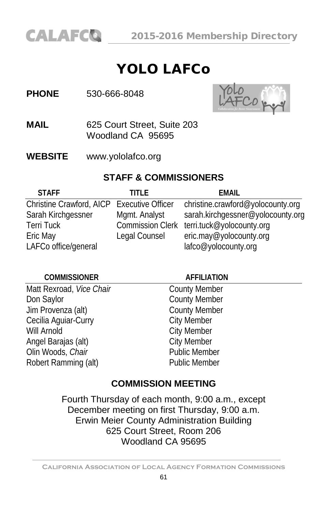# YOLO LAFCo

#### **PHONE** 530-666-8048



- **MAIL** 625 Court Street, Suite 203 Woodland CA 95695
- **WEBSITE** [www.yololafco.org](http://www.yololafco.org/)

#### **STAFF & COMMISSIONERS**

| <b>STAFF</b>                               | TITI F                  | FMAII                             |
|--------------------------------------------|-------------------------|-----------------------------------|
| Christine Crawford, AICP Executive Officer |                         | christine.crawford@yolocounty.org |
| Sarah Kirchgessner                         | Mgmt. Analyst           | sarah.kirchgessner@yolocounty.org |
| <b>Terri Tuck</b>                          | <b>Commission Clerk</b> | terri.tuck@yolocounty.org         |
| Eric May                                   | Legal Counsel           | eric.may@yolocounty.org           |
| LAFCo office/general                       |                         | lafco@yolocounty.org              |

| <b>COMMISSIONER</b>      | <b>AFFILIATION</b>   |  |
|--------------------------|----------------------|--|
| Matt Rexroad, Vice Chair | <b>County Member</b> |  |
| Don Saylor               | <b>County Member</b> |  |
| Jim Provenza (alt)       | <b>County Member</b> |  |
| Cecilia Aquiar-Curry     | <b>City Member</b>   |  |
| Will Arnold              | <b>City Member</b>   |  |
| Angel Barajas (alt)      | <b>City Member</b>   |  |
| Olin Woods, Chair        | <b>Public Member</b> |  |
| Robert Ramming (alt)     | <b>Public Member</b> |  |
|                          |                      |  |

### **COMMISSION MEETING**

Fourth Thursday of each month, 9:00 a.m., except December meeting on first Thursday, 9:00 a.m. Erwin Meier County Administration Building 625 Court Street, Room 206 Woodland CA 95695

**California Association of Local Agency Formation Commissions**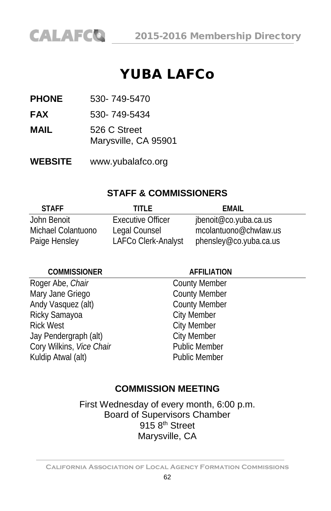

# YUBA LAFCo

**PHONE** 530- 749-5470

**FAX** 530- 749-5434

**MAIL** 526 C Street Marysville, CA 95901

**WEBSITE** www.yubalafco.org

#### **STAFF & COMMISSIONERS**

| <b>STAFF</b>       | TITI F              | FMAIL                  |
|--------------------|---------------------|------------------------|
| John Benoit        | Executive Officer   | jbenoit@co.yuba.ca.us  |
| Michael Colantuono | Legal Counsel       | mcolantuono@chwlaw.us  |
| Paige Hensley      | LAFCo Clerk-Analyst | phensley@co.yuba.ca.us |

#### **COMMISSIONER AFFILIATION**

Roger Abe, *Chair* County Member Mary Jane Griego **County Member** Andy Vasquez (alt) County Member Ricky Samayoa **City Member** Rick West **City Member** Jay Pendergraph (alt)<br>Cory Wilkins Vice Chair **Chair** Public Member Cory Wilkins, Vice Chair Kuldip Atwal (alt) **Public Member** 

#### **COMMISSION MEETING**

First Wednesday of every month, 6:00 p.m. Board of Supervisors Chamber 915 8<sup>th</sup> Street Marysville, CA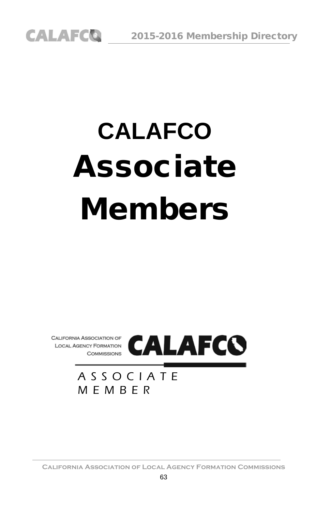# **CALAFCO** Associate Members



### ASSOCIATE MEMBER

**California Association of Local Agency Formation Commissions**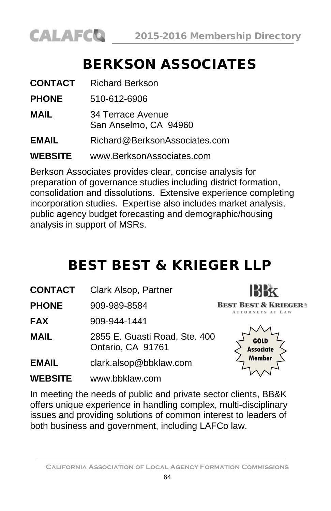

# BERKSON ASSOCIATES

| <b>CONTACT</b> | <b>Richard Berkson</b>                     |
|----------------|--------------------------------------------|
| <b>PHONE</b>   | 510-612-6906                               |
| MAIL           | 34 Terrace Avenue<br>San Anselmo, CA 94960 |
| <b>EMAIL</b>   | Richard@BerksonAssociates.com              |
| <b>WEBSITE</b> | www.BerksonAssociates.com                  |

Berkson Associates provides clear, concise analysis for preparation of governance studies including district formation, consolidation and dissolutions. Extensive experience completing incorporation studies. Expertise also includes market analysis, public agency budget forecasting and demographic/housing analysis in support of MSRs.

# BEST BEST & KRIEGER LLP

**CONTACT** Clark Alsop, Partner

**PHONE** 909-989-8584

**FAX** 909-944-1441

**MAIL** 2855 E. Guasti Road, Ste. 400 Ontario, CA 91761

- **EMAIL** [clark.alsop@bbklaw.com](mailto:clark.alsop@bbklaw.com)
- **WEBSITE** www.bbklaw.com



**IBBX BEST BEST & KRIEGER:** ATTORNEYS AT LAW

In meeting the needs of public and private sector clients, BB&K offers unique experience in handling complex, multi-disciplinary issues and providing solutions of common interest to leaders of both business and government, including LAFCo law.

**California Association of Local Agency Formation Commissions**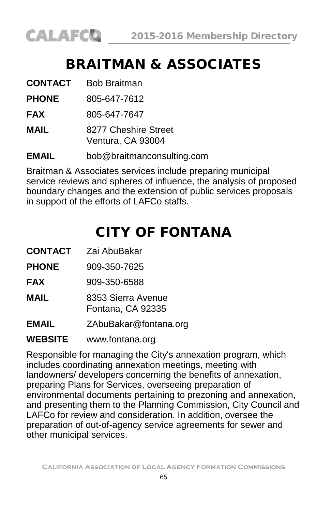# BRAITMAN & ASSOCIATES

| <b>CONTACT</b> | <b>Bob Braitman</b>                       |
|----------------|-------------------------------------------|
| <b>PHONE</b>   | 805-647-7612                              |
| <b>FAX</b>     | 805-647-7647                              |
| MAIL           | 8277 Cheshire Street<br>Ventura, CA 93004 |
| EMAIL          | bob@braitmanconsulting.com                |

Braitman & Associates services include preparing municipal service reviews and spheres of influence, the analysis of proposed boundary changes and the extension of public services proposals in support of the efforts of LAFCo staffs.

# CITY OF FONTANA

**CONTACT** Zai AbuBakar

**PHONE** 909-350-7625

**FAX** 909-350-6588

**MAIL** 8353 Sierra Avenue Fontana, CA 92335

**EMAIL** ZAbuBakar@fontana.org

**WEBSITE** www.fontana.org

Responsible for managing the City's annexation program, which includes coordinating annexation meetings, meeting with landowners/ developers concerning the benefits of annexation, preparing Plans for Services, overseeing preparation of environmental documents pertaining to prezoning and annexation, and presenting them to the Planning Commission, City Council and LAFCo for review and consideration. In addition, oversee the preparation of out-of-agency service agreements for sewer and other municipal services.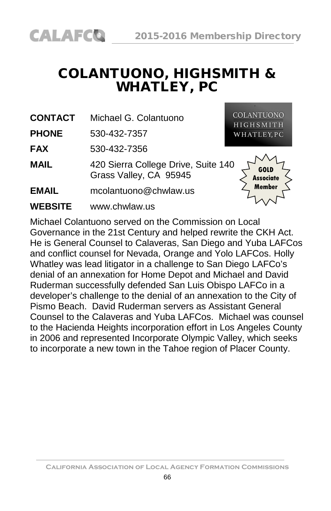# COLANTUONO, HIGHSMITH & WHATLEY, PC

**CONTACT** Michael G. Colantuono

**PHONE** 530-432-7357

**FAX** 530-432-7356

**MAIL** 420 Sierra College Drive, Suite 140 Grass Valley, CA 95945

**EMAIL** mcolantuono@chwlaw.us

**WEBSITE** [www.chwlaw.us](http://www.cllaw.us/)

**COLANTUONO HIGHSMITH** WHATLEY, PC



Michael Colantuono served on the Commission on Local Governance in the 21st Century and helped rewrite the CKH Act. He is General Counsel to Calaveras, San Diego and Yuba LAFCos and conflict counsel for Nevada, Orange and Yolo LAFCos. Holly Whatley was lead litigator in a challenge to San Diego LAFCo's denial of an annexation for Home Depot and Michael and David Ruderman successfully defended San Luis Obispo LAFCo in a developer's challenge to the denial of an annexation to the City of Pismo Beach. David Ruderman servers as Assistant General Counsel to the Calaveras and Yuba LAFCos. Michael was counsel to the Hacienda Heights incorporation effort in Los Angeles County in 2006 and represented Incorporate Olympic Valley, which seeks to incorporate a new town in the Tahoe region of Placer County.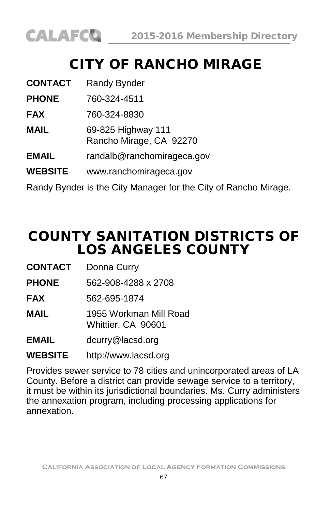

# CITY OF RANCHO MIRAGE

| <b>CONTACT</b> | Randy Bynder                                                    |
|----------------|-----------------------------------------------------------------|
| <b>PHONE</b>   | 760-324-4511                                                    |
| <b>FAX</b>     | 760-324-8830                                                    |
| <b>MAIL</b>    | 69-825 Highway 111<br>Rancho Mirage, CA 92270                   |
| <b>EMAIL</b>   | randalb@ranchomirageca.gov                                      |
| <b>WEBSITE</b> | www.ranchomirageca.gov                                          |
|                | Randy Bynder is the City Manager for the City of Rancho Mirage. |

# COUNTY SANITATION DISTRICTS OF LOS ANGELES COUNTY

- **CONTACT** Donna Curry
- **PHONE** 562-908-4288 x 2708
- **FAX** 562-695-1874
- **MAIL** 1955 Workman Mill Road Whittier, CA 90601
- **EMAIL** [dcurry@lacsd.org](mailto:dcurry@lacsd.org)
- **WEBSITE** [http://www.lacsd.org](http://www.lacsd.org/)

Provides sewer service to 78 cities and unincorporated areas of LA County. Before a district can provide sewage service to a territory, it must be within its jurisdictional boundaries. Ms. Curry administers the annexation program, including processing applications for annexation.

**California Association of Local Agency Formation Commissions**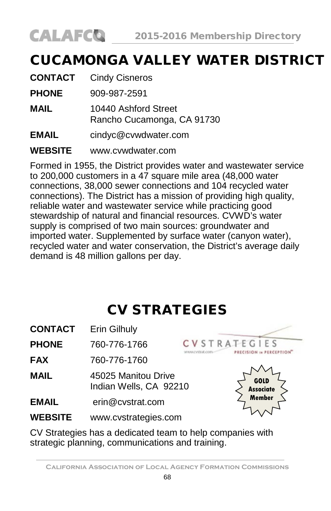

# CUCAMONGA VALLEY WATER DISTRICT

| <b>CONTACT</b> | <b>Cindy Cisneros</b>                              |
|----------------|----------------------------------------------------|
| <b>PHONE</b>   | 909-987-2591                                       |
| MAIL           | 10440 Ashford Street<br>Rancho Cucamonga, CA 91730 |
| <b>EMAIL</b>   | cindyc@cvwdwater.com                               |
| <b>WEBSITE</b> | www.cvwdwater.com                                  |

Formed in 1955, the District provides water and wastewater service to 200,000 customers in a 47 square mile area (48,000 water connections, 38,000 sewer connections and 104 recycled water connections). The District has a mission of providing high quality, reliable water and wastewater service while practicing good stewardship of natural and financial resources. CVWD's water supply is comprised of two main sources: groundwater and imported water. Supplemented by surface water (canyon water), recycled water and water conservation, the District's average daily demand is 48 million gallons per day.

# CV STRATEGIES

| CONTACT      | Erin Gilhuly                                  |                     |  |
|--------------|-----------------------------------------------|---------------------|--|
| <b>PHONE</b> | 760-776-1766                                  | <b>CVSTRATEGIES</b> |  |
| <b>FAX</b>   | 760-776-1760                                  |                     |  |
| <b>MAIL</b>  | 45025 Manitou Drive<br>Indian Wells, CA 92210 | GOLD<br>Associate   |  |
| <b>EMAIL</b> | erin@cvstrat.com                              | Member              |  |
| WEBSITE      | www.cvstrategies.com                          |                     |  |

CV Strategies has a dedicated team to help companies with strategic planning, communications and training.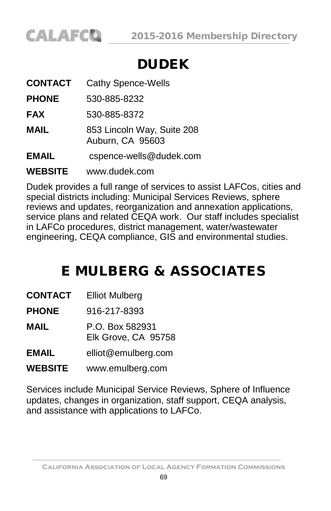

# DUDEK

| <b>CONTACT</b> | <b>Cathy Spence-Wells</b>                      |
|----------------|------------------------------------------------|
| <b>PHONE</b>   | 530-885-8232                                   |
| FAX            | 530-885-8372                                   |
| MAIL           | 853 Lincoln Way, Suite 208<br>Auburn, CA 95603 |
| EMAIL          | cspence-wells@dudek.com                        |
| <b>WEBSITE</b> | www.dudek.com                                  |

Dudek provides a full range of services to assist LAFCos, cities and special districts including: Municipal Services Reviews, sphere reviews and updates, reorganization and annexation applications, service plans and related CEQA work. Our staff includes specialist in LAFCo procedures, district management, water/wastewater engineering, CEQA compliance, GIS and environmental studies.

# E MULBERG & ASSOCIATES

**PHONE** 916-217-8393

**MAIL** P.O. Box 582931 Elk Grove, CA 95758

**EMAIL** [elliot@emulberg.com](mailto:elliot@mulberg.com)

**WEBSITE** [www.emulberg.com](http://www.emulberg.com/)

Services include Municipal Service Reviews, Sphere of Influence updates, changes in organization, staff support, CEQA analysis, and assistance with applications to LAFCo.

**California Association of Local Agency Formation Commissions**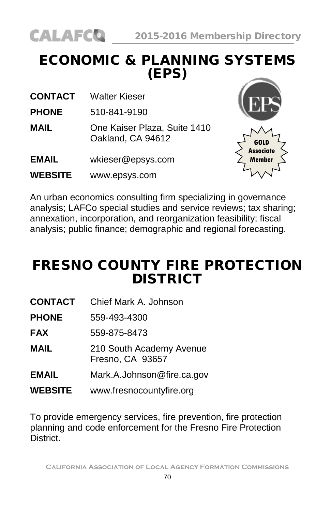# ECONOMIC & PLANNING SYSTEMS (EPS)

**CONTACT** Walter Kieser

**PHONE** 510-841-9190

- **MAIL** One Kaiser Plaza, Suite 1410 Oakland, CA 94612
- **EMAIL** [wkieser@epsys.com](mailto:wkieser@epsys.com)
- **WEBSITE** [www.epsys.com](http://www.epsys.com/)



An urban economics consulting firm specializing in governance analysis; LAFCo special studies and service reviews; tax sharing; annexation, incorporation, and reorganization feasibility; fiscal analysis; public finance; demographic and regional forecasting.

# FRESNO COUNTY FIRE PROTECTION DISTRICT

- **CONTACT** Chief Mark A. Johnson
- **PHONE** 559-493-4300

**FAX** 559-875-8473

- **MAIL** 210 South Academy Avenue Fresno, CA 93657
- **EMAIL** [Mark.A.Johnson@fire.ca.gov](mailto:Keith.Larkin@fire.ca.gov)
- **WEBSITE** [www.fresnocountyfire.org](http://www.fresnocountyfire.org/)

To provide emergency services, fire prevention, fire protection planning and code enforcement for the Fresno Fire Protection **District.** 

**California Association of Local Agency Formation Commissions**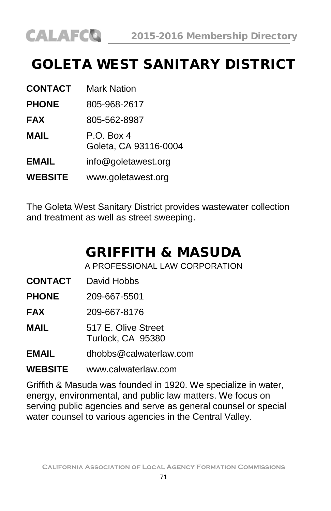# GOLETA WEST SANITARY DISTRICT

| <b>CONTACT</b> | Mark Nation                         |
|----------------|-------------------------------------|
| <b>PHONE</b>   | 805-968-2617                        |
| <b>FAX</b>     | 805-562-8987                        |
| MAIL           | P.O. Box 4<br>Goleta, CA 93116-0004 |
| <b>EMAIL</b>   | info@goletawest.org                 |
| <b>WEBSITE</b> | www.goletawest.org                  |

The Goleta West Sanitary District provides wastewater collection and treatment as well as street sweeping.

# GRIFFITH & MASUDA

A PROFESSIONAL LAW CORPORATION

- **CONTACT** David Hobbs
- **PHONE** 209-667-5501
- **FAX** 209-667-8176
- **MAIL** 517 E. Olive Street Turlock, CA 95380
- **EMAIL** [dhobbs@calwaterlaw.com](mailto:dhobbs@calwaterlaw.com)

#### **WEBSITE** [www.calwaterlaw.com](http://www.calwaterlaw.com/)

Griffith & Masuda was founded in 1920. We specialize in water, energy, environmental, and public law matters. We focus on serving public agencies and serve as general counsel or special water counsel to various agencies in the Central Valley.

**California Association of Local Agency Formation Commissions**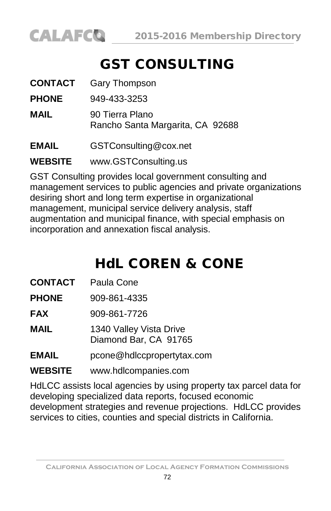

# GST CONSULTING

| <b>CONTACT</b> | Gary Thompson                                       |
|----------------|-----------------------------------------------------|
| <b>PHONE</b>   | 949-433-3253                                        |
| <b>MAIL</b>    | 90 Tierra Plano<br>Rancho Santa Margarita, CA 92688 |
| <b>EMAIL</b>   | GSTConsulting@cox.net                               |
| <b>WEBSITE</b> | www.GSTConsulting.us                                |

GST Consulting provides local government consulting and management services to public agencies and private organizations desiring short and long term expertise in organizational management, municipal service delivery analysis, staff augmentation and municipal finance, with special emphasis on incorporation and annexation fiscal analysis.

# HdL COREN & CONE

- **CONTACT** Paula Cone
- **PHONE** 909-861-4335
- **FAX** 909-861-7726
- **MAIL** 1340 Valley Vista Drive Diamond Bar, CA 91765
- **EMAIL** [pcone@hdlccpropertytax.com](mailto:pcone@hdlccpropertytax.com)

#### **WEBSITE** [www.hdlcompanies.com](http://www.ci.rancho-mirage.ca.us/)

HdLCC assists local agencies by using property tax parcel data for developing specialized data reports, focused economic development strategies and revenue projections. HdLCC provides services to cities, counties and special districts in California.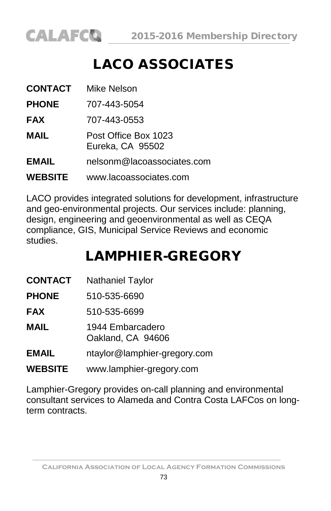

## LACO ASSOCIATES

| CONTACT        | Mike Nelson                              |
|----------------|------------------------------------------|
| <b>PHONE</b>   | 707-443-5054                             |
| <b>FAX</b>     | 707-443-0553                             |
| MAIL           | Post Office Box 1023<br>Eureka, CA 95502 |
| <b>EMAIL</b>   | nelsonm@lacoassociates.com               |
| <b>WEBSITE</b> | www.lacoassociates.com                   |

LACO provides integrated solutions for development, infrastructure and geo-environmental projects. Our services include: planning, design, engineering and geoenvironmental as well as CEQA compliance, GIS, Municipal Service Reviews and economic studies.

## LAMPHIER-GREGORY

| CONTACT | Nathaniel Taylor |
|---------|------------------|
|---------|------------------|

**PHONE** 510-535-6690

**FAX** 510-535-6699

**MAIL** 1944 Embarcadero Oakland, CA 94606

**EMAIL** [ntaylor@lamphier-gregory.com](mailto:ntaylor@lamphier-gregory.com)

**WEBSITE** [www.lamphier-gregory.com](http://www.lamphier-gregory.com/)

Lamphier-Gregory provides on-call planning and environmental consultant services to Alameda and Contra Costa LAFCos on longterm contracts.

**California Association of Local Agency Formation Commissions**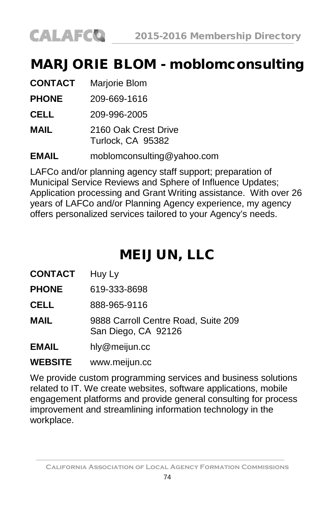

#### MARJORIE BLOM - moblomconsulting

| <b>CONTACT</b> | Marjorie Blom                             |
|----------------|-------------------------------------------|
| <b>PHONE</b>   | 209-669-1616                              |
| CELL           | 209-996-2005                              |
| MAIL           | 2160 Oak Crest Drive<br>Turlock, CA 95382 |
| <b>EMAIL</b>   | moblomconsulting@yahoo.com                |

LAFCo and/or planning agency staff support; preparation of Municipal Service Reviews and Sphere of Influence Updates; Application processing and Grant Writing assistance. With over 26 years of LAFCo and/or Planning Agency experience, my agency offers personalized services tailored to your Agency's needs.

### MEIJUN, LLC

**CONTACT** Huy Ly

**PHONE** 619-333-8698

**CELL** 888-965-9116

**MAIL** 9888 Carroll Centre Road, Suite 209 San Diego, CA 92126

**EMAIL** [hly@meijun.cc](mailto:hly@meijun.cc)

**WEBSITE** [www.meijun.cc](http://www.meijun.cc/)

We provide custom programming services and business solutions related to IT. We create websites, software applications, mobile engagement platforms and provide general consulting for process improvement and streamlining information technology in the workplace.

**California Association of Local Agency Formation Commissions**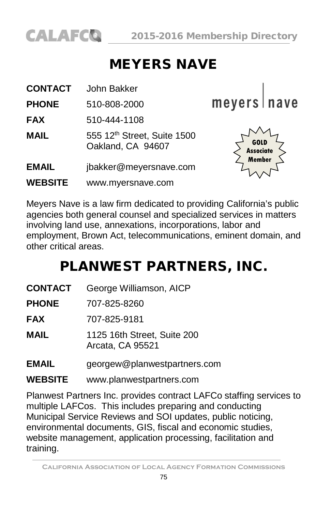

### MEYERS NAVE

| <b>CONTACT</b> | John Bakker                                      |                                                  |
|----------------|--------------------------------------------------|--------------------------------------------------|
| <b>PHONE</b>   | 510-808-2000                                     | meyers   nave                                    |
| <b>FAX</b>     | 510-444-1108                                     |                                                  |
| <b>MAIL</b>    | 555 12th Street, Suite 1500<br>Oakland, CA 94607 | <b>GOLD</b><br><b>Associate</b><br><b>Member</b> |
| <b>EMAIL</b>   | jbakker@meyersnave.com                           |                                                  |
| <b>WEBSITE</b> | www.myersnave.com                                |                                                  |

Meyers Nave is a law firm dedicated to providing California's public agencies both general counsel and specialized services in matters involving land use, annexations, incorporations, labor and employment, Brown Act, telecommunications, eminent domain, and other critical areas.

#### PLANWEST PARTNERS, INC.

- **CONTACT** George Williamson, AICP
- **PHONE** 707-825-8260
- **FAX** 707-825-9181
- **MAIL** 1125 16th Street, Suite 200 Arcata, CA 95521
- **EMAIL** [georgew@planwestpartners.com](mailto:wross@lawross.com)
- **WEBSITE** www.planwestpartners.com

Planwest Partners Inc. provides contract LAFCo staffing services to multiple LAFCos. This includes preparing and conducting Municipal Service Reviews and SOI updates, public noticing, environmental documents, GIS, fiscal and economic studies, website management, application processing, facilitation and training.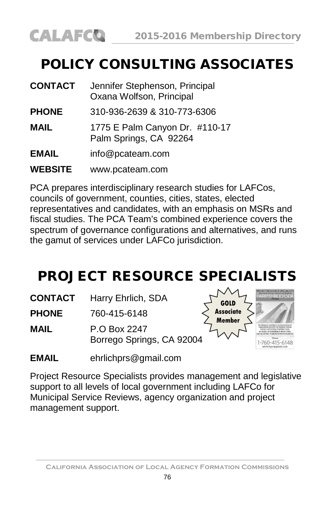### POLICY CONSULTING ASSOCIATES

| <b>CONTACT</b> | Jennifer Stephenson, Principal<br>Oxana Wolfson, Principal |
|----------------|------------------------------------------------------------|
| <b>PHONE</b>   | 310-936-2639 & 310-773-6306                                |
| <b>MAIL</b>    | 1775 E Palm Canyon Dr. #110-17<br>Palm Springs, CA 92264   |
| <b>EMAIL</b>   | info@pcateam.com                                           |
| <b>WEBSITE</b> | www.pcateam.com                                            |

PCA prepares interdisciplinary research studies for LAFCos, councils of government, counties, cities, states, elected representatives and candidates, with an emphasis on MSRs and fiscal studies. The PCA Team's combined experience covers the spectrum of governance configurations and alternatives, and runs the gamut of services under LAFCo jurisdiction.

### PROJECT RESOURCE SPECIALISTS

**CONTACT** Harry Ehrlich, SDA

**PHONE** 760-415-6148

**MAIL** P.O Box 2247 Borrego Springs, CA 92004



**EMAIL** [ehrlichprs@gmail.com](mailto:ehrlichprs@gmail.com)

Project Resource Specialists provides management and legislative support to all levels of local government including LAFCo for Municipal Service Reviews, agency organization and project management support.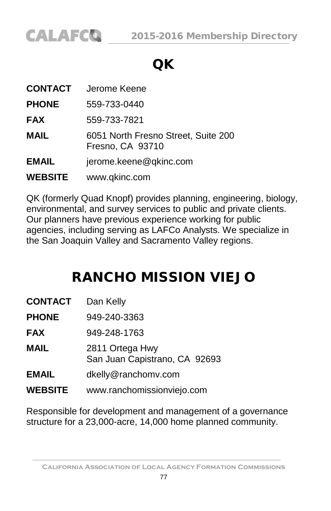

### QK

| CONTACT        | Jerome Keene                                            |
|----------------|---------------------------------------------------------|
| <b>PHONE</b>   | 559-733-0440                                            |
| <b>FAX</b>     | 559-733-7821                                            |
| <b>MAIL</b>    | 6051 North Fresno Street, Suite 200<br>Fresno, CA 93710 |
| <b>EMAIL</b>   | jerome.keene@qkinc.com                                  |
| <b>WEBSITE</b> | www.qkinc.com                                           |

QK (formerly Quad Knopf) provides planning, engineering, biology, environmental, and survey services to public and private clients. Our planners have previous experience working for public agencies, including serving as LAFCo Analysts. We specialize in the San Joaquin Valley and Sacramento Valley regions.

#### RANCHO MISSION VIEJO

| CONTACT      | Dan Kelly                                        |
|--------------|--------------------------------------------------|
| <b>PHONE</b> | 949-240-3363                                     |
| FAX          | 949-248-1763                                     |
| MAIL         | 2811 Ortega Hwy<br>San Juan Capistrano, CA 92693 |
| EMAIL        | dkelly@ranchomv.com                              |
| WEBSITE      | www.ranchomissionviejo.com                       |

Responsible for development and management of a governance structure for a 23,000-acre, 14,000 home planned community.

**California Association of Local Agency Formation Commissions**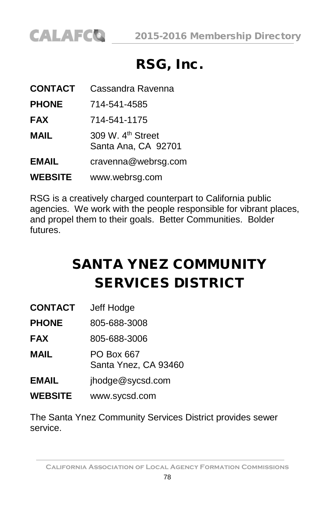

#### RSG, Inc.

| <b>CONTACT</b> | Cassandra Ravenna                                    |
|----------------|------------------------------------------------------|
| <b>PHONE</b>   | 714-541-4585                                         |
| <b>FAX</b>     | 714-541-1175                                         |
| MAIL           | 309 W. 4 <sup>th</sup> Street<br>Santa Ana, CA 92701 |
| EMAIL          | cravenna@webrsg.com                                  |
| <b>WEBSITE</b> | www.webrsg.com                                       |

RSG is a creatively charged counterpart to California public agencies. We work with the people responsible for vibrant places, and propel them to their goals. Better Communities. Bolder futures.

# SANTA YNEZ COMMUNITY SERVICES DISTRICT

**PHONE** 805-688-3008

**FAX** 805-688-3006

**MAIL** PO Box 667 Santa Ynez, CA 93460

- **EMAIL** [jhodge@sycsd.com](mailto:jhodge@sycsd.com)
- **WEBSITE** [www.sycsd.com](http://www.sycsd.com/)

The Santa Ynez Community Services District provides sewer service.

**California Association of Local Agency Formation Commissions**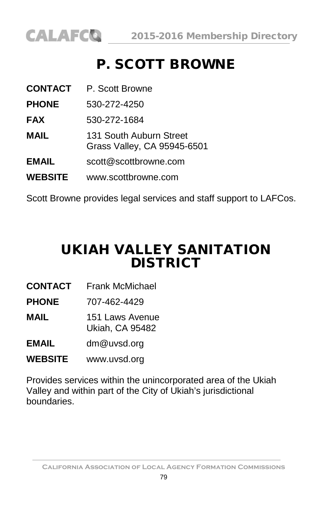

### P. SCOTT BROWNE

| <b>CONTACT</b> | P. Scott Browne                                        |
|----------------|--------------------------------------------------------|
| <b>PHONE</b>   | 530-272-4250                                           |
| <b>FAX</b>     | 530-272-1684                                           |
| MAIL           | 131 South Auburn Street<br>Grass Valley, CA 95945-6501 |
| <b>EMAIL</b>   | scott@scottbrowne.com                                  |
| <b>WEBSITE</b> | www.scottbrowne.com                                    |

Scott Browne provides legal services and staff support to LAFCos.

#### UKIAH VALLEY SANITATION **DISTRICT**

- **CONTACT** Frank McMichael
- **PHONE** 707-462-4429
- **MAIL** 151 Laws Avenue Ukiah, CA 95482
- **EMAIL** [dm@uvsd.org](mailto:scott@scottbrowne.com)
- **WEBSITE** [www.uvsd.org](http://www.scottbrowne.com/)

Provides services within the unincorporated area of the Ukiah Valley and within part of the City of Ukiah's jurisdictional boundaries.

**California Association of Local Agency Formation Commissions**